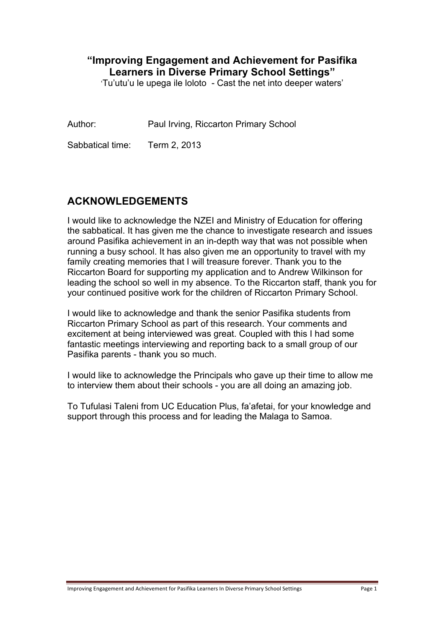## **"Improving Engagement and Achievement for Pasifika Learners in Diverse Primary School Settings"**

'Tu'utu'u le upega ile loloto - Cast the net into deeper waters'

Author: Paul Irving, Riccarton Primary School

Sabbatical time: Term 2, 2013

## **ACKNOWLEDGEMENTS**

I would like to acknowledge the NZEI and Ministry of Education for offering the sabbatical. It has given me the chance to investigate research and issues around Pasifika achievement in an in-depth way that was not possible when running a busy school. It has also given me an opportunity to travel with my family creating memories that I will treasure forever. Thank you to the Riccarton Board for supporting my application and to Andrew Wilkinson for leading the school so well in my absence. To the Riccarton staff, thank you for your continued positive work for the children of Riccarton Primary School.

I would like to acknowledge and thank the senior Pasifika students from Riccarton Primary School as part of this research. Your comments and excitement at being interviewed was great. Coupled with this I had some fantastic meetings interviewing and reporting back to a small group of our Pasifika parents - thank you so much.

I would like to acknowledge the Principals who gave up their time to allow me to interview them about their schools - you are all doing an amazing job.

To Tufulasi Taleni from UC Education Plus, fa'afetai, for your knowledge and support through this process and for leading the Malaga to Samoa.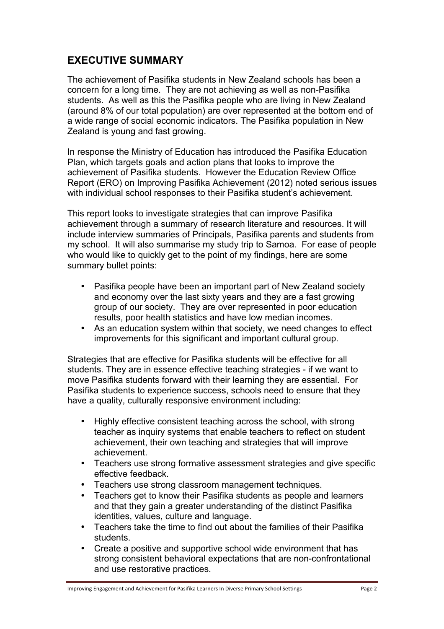## **EXECUTIVE SUMMARY**

The achievement of Pasifika students in New Zealand schools has been a concern for a long time. They are not achieving as well as non-Pasifika students. As well as this the Pasifika people who are living in New Zealand (around 8% of our total population) are over represented at the bottom end of a wide range of social economic indicators. The Pasifika population in New Zealand is young and fast growing.

In response the Ministry of Education has introduced the Pasifika Education Plan, which targets goals and action plans that looks to improve the achievement of Pasifika students. However the Education Review Office Report (ERO) on Improving Pasifika Achievement (2012) noted serious issues with individual school responses to their Pasifika student's achievement.

This report looks to investigate strategies that can improve Pasifika achievement through a summary of research literature and resources. It will include interview summaries of Principals, Pasifika parents and students from my school. It will also summarise my study trip to Samoa. For ease of people who would like to quickly get to the point of my findings, here are some summary bullet points:

- Pasifika people have been an important part of New Zealand society and economy over the last sixty years and they are a fast growing group of our society. They are over represented in poor education results, poor health statistics and have low median incomes.
- As an education system within that society, we need changes to effect improvements for this significant and important cultural group.

Strategies that are effective for Pasifika students will be effective for all students. They are in essence effective teaching strategies - if we want to move Pasifika students forward with their learning they are essential. For Pasifika students to experience success, schools need to ensure that they have a quality, culturally responsive environment including:

- Highly effective consistent teaching across the school, with strong teacher as inquiry systems that enable teachers to reflect on student achievement, their own teaching and strategies that will improve achievement.
- Teachers use strong formative assessment strategies and give specific effective feedback.
- Teachers use strong classroom management techniques.
- Teachers get to know their Pasifika students as people and learners and that they gain a greater understanding of the distinct Pasifika identities, values, culture and language.
- Teachers take the time to find out about the families of their Pasifika students.
- Create a positive and supportive school wide environment that has strong consistent behavioral expectations that are non-confrontational and use restorative practices.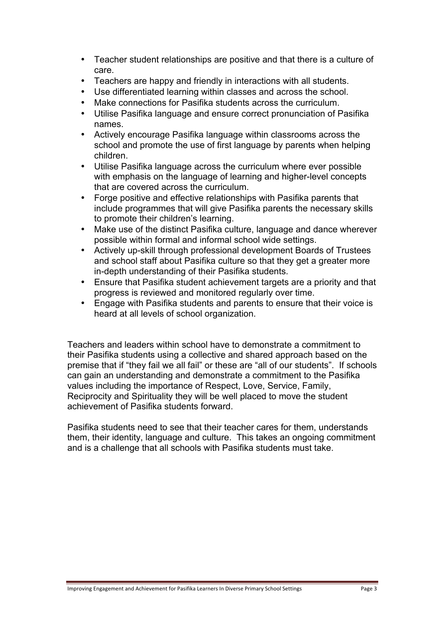- Teacher student relationships are positive and that there is a culture of care.
- Teachers are happy and friendly in interactions with all students.
- Use differentiated learning within classes and across the school.
- Make connections for Pasifika students across the curriculum.
- Utilise Pasifika language and ensure correct pronunciation of Pasifika names.
- Actively encourage Pasifika language within classrooms across the school and promote the use of first language by parents when helping children.
- Utilise Pasifika language across the curriculum where ever possible with emphasis on the language of learning and higher-level concepts that are covered across the curriculum.
- Forge positive and effective relationships with Pasifika parents that include programmes that will give Pasifika parents the necessary skills to promote their children's learning.
- Make use of the distinct Pasifika culture, language and dance wherever possible within formal and informal school wide settings.
- Actively up-skill through professional development Boards of Trustees and school staff about Pasifika culture so that they get a greater more in-depth understanding of their Pasifika students.
- Ensure that Pasifika student achievement targets are a priority and that progress is reviewed and monitored regularly over time.
- Engage with Pasifika students and parents to ensure that their voice is heard at all levels of school organization.

Teachers and leaders within school have to demonstrate a commitment to their Pasifika students using a collective and shared approach based on the premise that if "they fail we all fail" or these are "all of our students". If schools can gain an understanding and demonstrate a commitment to the Pasifika values including the importance of Respect, Love, Service, Family, Reciprocity and Spirituality they will be well placed to move the student achievement of Pasifika students forward.

Pasifika students need to see that their teacher cares for them, understands them, their identity, language and culture. This takes an ongoing commitment and is a challenge that all schools with Pasifika students must take.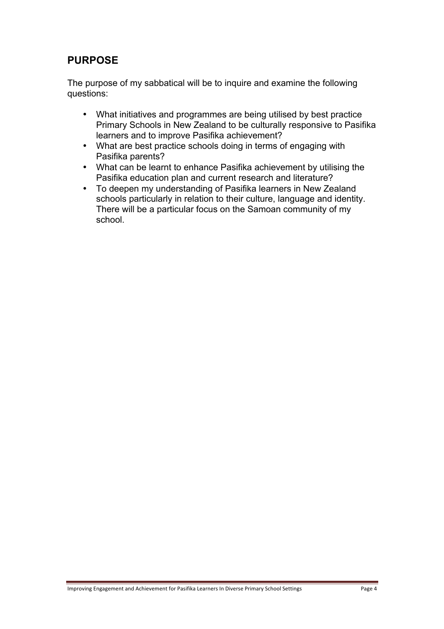# **PURPOSE**

The purpose of my sabbatical will be to inquire and examine the following questions:

- What initiatives and programmes are being utilised by best practice Primary Schools in New Zealand to be culturally responsive to Pasifika learners and to improve Pasifika achievement?
- What are best practice schools doing in terms of engaging with Pasifika parents?
- What can be learnt to enhance Pasifika achievement by utilising the Pasifika education plan and current research and literature?
- To deepen my understanding of Pasifika learners in New Zealand schools particularly in relation to their culture, language and identity. There will be a particular focus on the Samoan community of my school.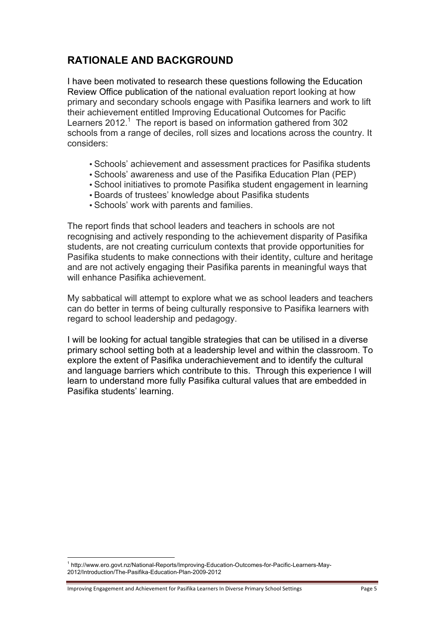# **RATIONALE AND BACKGROUND**

I have been motivated to research these questions following the Education Review Office publication of the national evaluation report looking at how primary and secondary schools engage with Pasifika learners and work to lift their achievement entitled Improving Educational Outcomes for Pacific Learners  $2012<sup>1</sup>$  The report is based on information gathered from 302 schools from a range of deciles, roll sizes and locations across the country. It considers:

- Schools' achievement and assessment practices for Pasifika students
- Schools' awareness and use of the Pasifika Education Plan (PEP)
- School initiatives to promote Pasifika student engagement in learning
- Boards of trustees' knowledge about Pasifika students
- Schools' work with parents and families.

The report finds that school leaders and teachers in schools are not recognising and actively responding to the achievement disparity of Pasifika students, are not creating curriculum contexts that provide opportunities for Pasifika students to make connections with their identity, culture and heritage and are not actively engaging their Pasifika parents in meaningful ways that will enhance Pasifika achievement.

My sabbatical will attempt to explore what we as school leaders and teachers can do better in terms of being culturally responsive to Pasifika learners with regard to school leadership and pedagogy.

I will be looking for actual tangible strategies that can be utilised in a diverse primary school setting both at a leadership level and within the classroom. To explore the extent of Pasifika underachievement and to identify the cultural and language barriers which contribute to this. Through this experience I will learn to understand more fully Pasifika cultural values that are embedded in Pasifika students' learning.

Improving Engagement and Achievement for Pasifika Learners In Diverse Primary School Settings Page 5

<sup>1</sup> http://www.ero.govt.nz/National-Reports/Improving-Education-Outcomes-for-Pacific-Learners-May-2012/Introduction/The-Pasifika-Education-Plan-2009-2012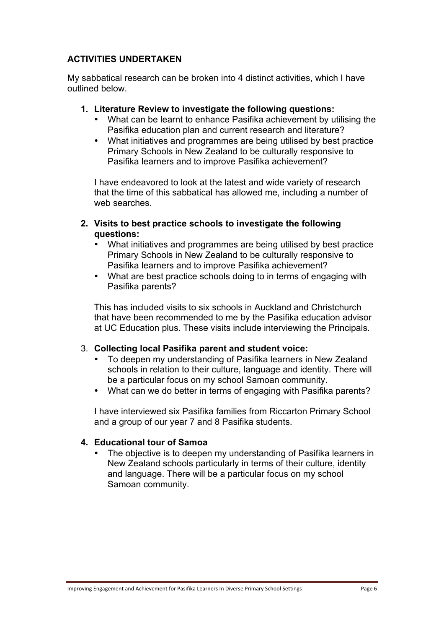## **ACTIVITIES UNDERTAKEN**

My sabbatical research can be broken into 4 distinct activities, which I have outlined below.

#### **1. Literature Review to investigate the following questions:**

- What can be learnt to enhance Pasifika achievement by utilising the Pasifika education plan and current research and literature?
- What initiatives and programmes are being utilised by best practice Primary Schools in New Zealand to be culturally responsive to Pasifika learners and to improve Pasifika achievement?

I have endeavored to look at the latest and wide variety of research that the time of this sabbatical has allowed me, including a number of web searches.

- **2. Visits to best practice schools to investigate the following questions:**
	- What initiatives and programmes are being utilised by best practice Primary Schools in New Zealand to be culturally responsive to Pasifika learners and to improve Pasifika achievement?
	- What are best practice schools doing to in terms of engaging with Pasifika parents?

This has included visits to six schools in Auckland and Christchurch that have been recommended to me by the Pasifika education advisor at UC Education plus. These visits include interviewing the Principals.

#### 3. **Collecting local Pasifika parent and student voice:**

- To deepen my understanding of Pasifika learners in New Zealand schools in relation to their culture, language and identity. There will be a particular focus on my school Samoan community.
- What can we do better in terms of engaging with Pasifika parents?

I have interviewed six Pasifika families from Riccarton Primary School and a group of our year 7 and 8 Pasifika students.

#### **4. Educational tour of Samoa**

The objective is to deepen my understanding of Pasifika learners in New Zealand schools particularly in terms of their culture, identity and language. There will be a particular focus on my school Samoan community.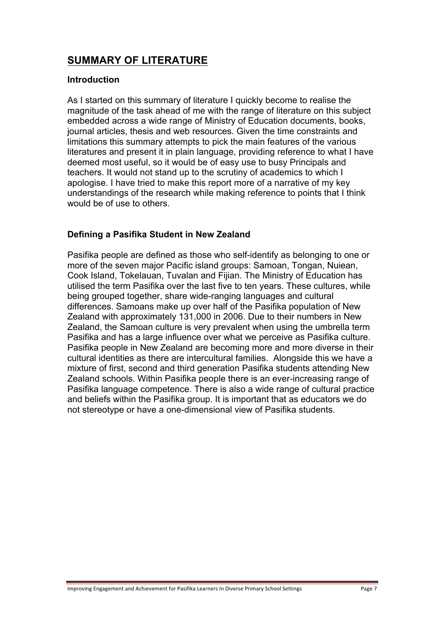# **SUMMARY OF LITERATURE**

#### **Introduction**

As I started on this summary of literature I quickly become to realise the magnitude of the task ahead of me with the range of literature on this subject embedded across a wide range of Ministry of Education documents, books, journal articles, thesis and web resources. Given the time constraints and limitations this summary attempts to pick the main features of the various literatures and present it in plain language, providing reference to what I have deemed most useful, so it would be of easy use to busy Principals and teachers. It would not stand up to the scrutiny of academics to which I apologise. I have tried to make this report more of a narrative of my key understandings of the research while making reference to points that I think would be of use to others.

## **Defining a Pasifika Student in New Zealand**

Pasifika people are defined as those who self-identify as belonging to one or more of the seven major Pacific island groups: Samoan, Tongan, Nuiean, Cook Island, Tokelauan, Tuvalan and Fijian. The Ministry of Education has utilised the term Pasifika over the last five to ten years. These cultures, while being grouped together, share wide-ranging languages and cultural differences. Samoans make up over half of the Pasifika population of New Zealand with approximately 131,000 in 2006. Due to their numbers in New Zealand, the Samoan culture is very prevalent when using the umbrella term Pasifika and has a large influence over what we perceive as Pasifika culture. Pasifika people in New Zealand are becoming more and more diverse in their cultural identities as there are intercultural families. Alongside this we have a mixture of first, second and third generation Pasifika students attending New Zealand schools. Within Pasifika people there is an ever-increasing range of Pasifika language competence. There is also a wide range of cultural practice and beliefs within the Pasifika group. It is important that as educators we do not stereotype or have a one-dimensional view of Pasifika students.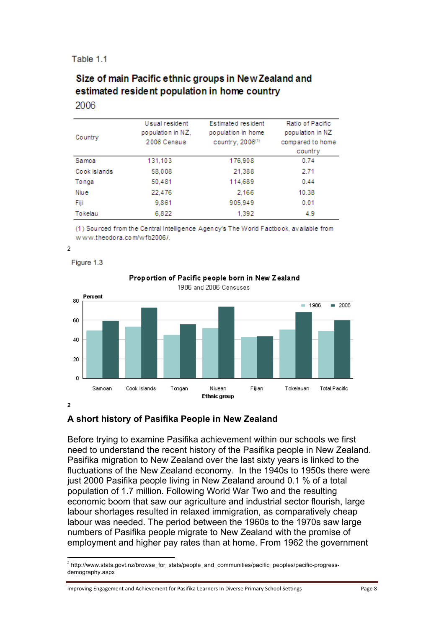#### Table 1.1

## Size of main Pacific ethnic groups in New Zealand and estimated resident population in home country 2006

| Country      | Usual resident<br>population in NZ.<br>2006 Census | Estimated resident<br>population in home<br>country, 2006(1) | Ratio of Pacific<br>population in NZ<br>compared to home<br>country |
|--------------|----------------------------------------------------|--------------------------------------------------------------|---------------------------------------------------------------------|
| Samoa        | 131.103                                            | 176,908                                                      | 0.74                                                                |
| Cook Islands | 58,008                                             | 21,388                                                       | 2.71                                                                |
| Tonga        | 50,481                                             | 114,689                                                      | 0.44                                                                |
| Niu e        | 22,476                                             | 2.166                                                        | 10.38                                                               |
| Fiji         | 9,861                                              | 905,949                                                      | 0.01                                                                |
| Tokelau      | 6,822                                              | 1,392                                                        | 4.9                                                                 |

(1) Sourced from the Central Intelligence Agency's The World Factbook, available from www.theodora.com/wfb2006/.

#### 2

Figure 1.3



#### Proportion of Pacific people born in New Zealand

## **2**

## **A short history of Pasifika People in New Zealand**

Before trying to examine Pasifika achievement within our schools we first need to understand the recent history of the Pasifika people in New Zealand. Pasifika migration to New Zealand over the last sixty years is linked to the fluctuations of the New Zealand economy. In the 1940s to 1950s there were just 2000 Pasifika people living in New Zealand around 0.1 % of a total population of 1.7 million. Following World War Two and the resulting economic boom that saw our agriculture and industrial sector flourish, large labour shortages resulted in relaxed immigration, as comparatively cheap labour was needed. The period between the 1960s to the 1970s saw large numbers of Pasifika people migrate to New Zealand with the promise of employment and higher pay rates than at home. From 1962 the government

<sup>!!!!!!!!!!!!!!!!!!!!!!!!!!!!!!!!!!!!!!!!!!!!!!!!!!!!!!!</sup> <sup>2</sup> http://www.stats.govt.nz/browse\_for\_stats/people\_and\_communities/pacific\_peoples/pacific-progressdemography.aspx

Improving Engagement and Achievement for Pasifika Learners In Diverse Primary School Settings Page 8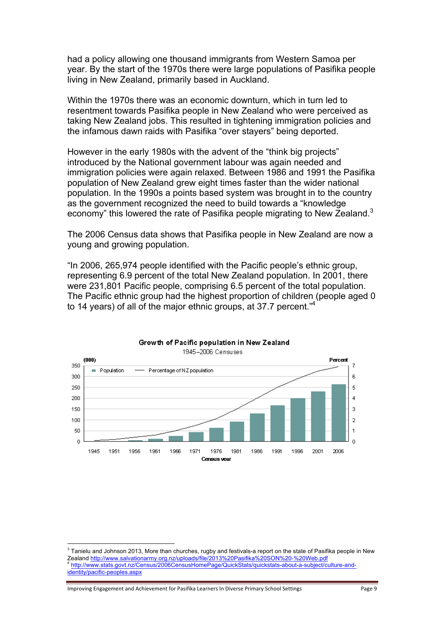had a policy allowing one thousand immigrants from Western Samoa per year. By the start of the 1970s there were large populations of Pasifika people living in New Zealand, primarily based in Auckland.

Within the 1970s there was an economic downturn, which in turn led to resentment towards Pasifika people in New Zealand who were perceived as taking New Zealand jobs. This resulted in tightening immigration policies and the infamous dawn raids with Pasifika "over stayers" being deported.

However in the early 1980s with the advent of the "think big projects" introduced by the National government labour was again needed and immigration policies were again relaxed. Between 1986 and 1991 the Pasifika population of New Zealand grew eight times faster than the wider national population. In the 1990s a points based system was brought in to the country as the government recognized the need to build towards a "knowledge economy" this lowered the rate of Pasifika people migrating to New Zealand.<sup>3</sup>

The 2006 Census data shows that Pasifika people in New Zealand are now a young and growing population.

"In 2006, 265,974 people identified with the Pacific people's ethnic group, representing 6.9 percent of the total New Zealand population. In 2001, there were 231,801 Pacific people, comprising 6.5 percent of the total population. The Pacific ethnic group had the highest proportion of children (people aged 0 to 14 years) of all of the major ethnic groups, at 37.7 percent."4



#### Growth of Pacific population in New Zealand 1945-2006 Censuses

Improving Engagement and Achievement for Pasifika Learners In Diverse Primary School Settings Page 9

<sup>!!!!!!!!!!!!!!!!!!!!!!!!!!!!!!!!!!!!!!!!!!!!!!!!!!!!!!!</sup>  $3$  Tanielu and Johnson 2013, More than churches, rugby and festivals-a report on the state of Pasifika people in New Zealand http://www.salvationarmy.org.nz/uploads/file/2013%20Pasifika%20SON%20-%20Web.pdf <sup>4</sup> http://www.stats.govt.nz/Census/2006CensusHomePage/QuickStats/quickstats-about-a-subject/culture-andidentity/pacific-peoples.aspx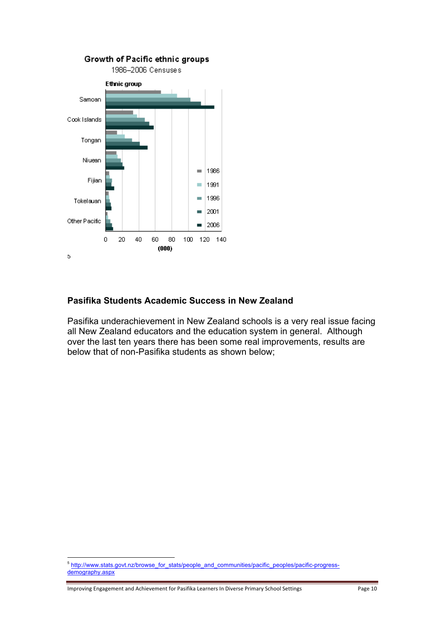

## **Pasifika Students Academic Success in New Zealand**

Pasifika underachievement in New Zealand schools is a very real issue facing all New Zealand educators and the education system in general. Although over the last ten years there has been some real improvements, results are below that of non-Pasifika students as shown below;

Improving Engagement and Achievement for Pasifika Learners In Diverse Primary School Settings Page 10

<sup>&</sup>lt;sup>5</sup> http://www.stats.govt.nz/browse\_for\_stats/people\_and\_communities/pacific\_peoples/pacific-progressdemography.aspx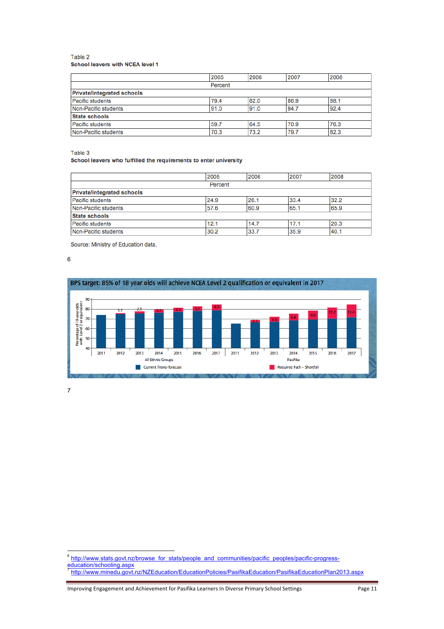#### Table 2 School leavers with NCEA level 1

|                                   | 2005    | 2006 | 2007 | 2008 |
|-----------------------------------|---------|------|------|------|
|                                   | Percent |      |      |      |
| <b>Private/integrated schools</b> |         |      |      |      |
| <b>Pacific students</b>           | 79.4    | 82.0 | 86.9 | 88.1 |
| Non-Pacific students              | 91.0    | 91.0 | 94.7 | 92.4 |
| <b>State schools</b>              |         |      |      |      |
| <b>Pacific students</b>           | 59.7    | 64.5 | 70.9 | 76.3 |
| Non-Pacific students              | 70.3    | 73.2 | 79.7 | 82.3 |

Table 3

#### School leavers who fulfilled the requirements to enter university

|                                   | 2005 | 2006 | 2007 | 2008 |
|-----------------------------------|------|------|------|------|
| Percent                           |      |      |      |      |
| <b>Private/integrated schools</b> |      |      |      |      |
| Pacific students                  | 24.9 | 26.1 | 33.4 | 32.2 |
| Non-Pacific students              | 57.6 | 60.9 | 65.1 | 65.9 |
| <b>State schools</b>              |      |      |      |      |
| <b>Pacific students</b>           | 12.1 | 14.7 | 17.1 | 20.3 |
| Non-Pacific students              | 30.2 | 33.7 | 35.9 | 40.1 |

Source: Ministry of Education data.

6



7

<sup>&</sup>lt;sup>6</sup> http://www.stats.govt.nz/browse\_for\_stats/people\_and\_communities/pacific\_peoples/pacific-progress-

education/schooling.aspx <sup>7</sup> http://www.minedu.govt.nz/NZEducation/EducationPolicies/PasifikaEducation/PasifikaEducationPlan2013.aspx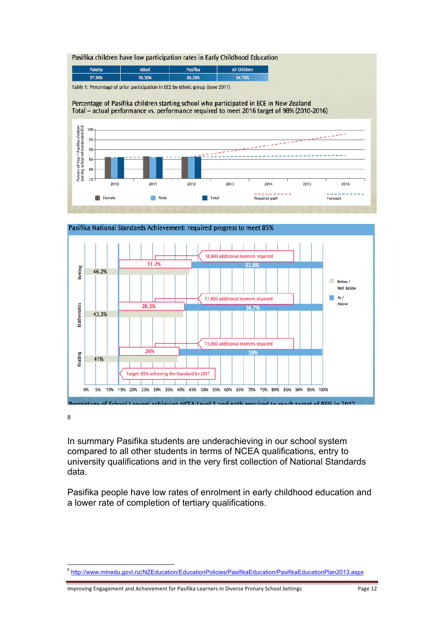Pasifika children have low participation rates in Early Childhood Education

| <b>Pakeha</b> | <b>Mäori</b> | <b>Pasifika</b> | <b>All Children</b> |
|---------------|--------------|-----------------|---------------------|
| 97.90%        | 90.30%       | 86.20%          | 94.70%              |

Table 1: Percentage of prior participation in ECE by ethnic group (June 2011)

Percentage of Pasifika children starting school who participated in ECE in New Zealand Total – actual performance vs. performance required to meet 2016 target of 98% (2010-2016)





Pasifika National Standards Achievement: required progress to meet 85%

8

In summary Pasifika students are underachieving in our school system compared to all other students in terms of NCEA qualifications, entry to university qualifications and in the very first collection of National Standards data.

Pasifika people have low rates of enrolment in early childhood education and a lower rate of completion of tertiary qualifications.

<sup>!!!!!!!!!!!!!!!!!!!!!!!!!!!!!!!!!!!!!!!!!!!!!!!!!!!!!!!</sup> <sup>8</sup> http://www.minedu.govt.nz/NZEducation/EducationPolicies/PasifikaEducation/PasifikaEducationPlan2013.aspx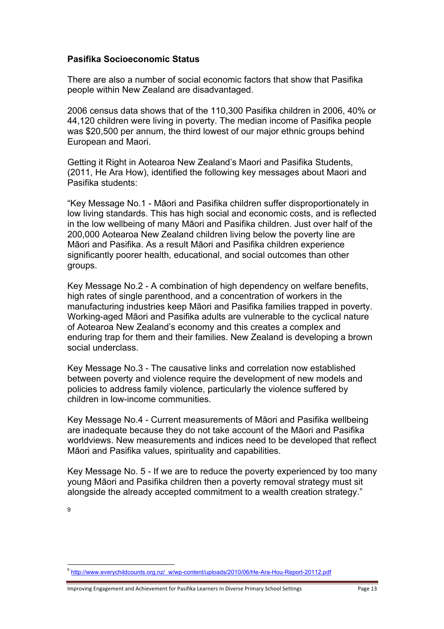#### **Pasifika Socioeconomic Status**

There are also a number of social economic factors that show that Pasifika people within New Zealand are disadvantaged.

2006 census data shows that of the 110,300 Pasifika children in 2006, 40% or 44,120 children were living in poverty. The median income of Pasifika people was \$20,500 per annum, the third lowest of our major ethnic groups behind European and Maori.

Getting it Right in Aotearoa New Zealand's Maori and Pasifika Students, (2011, He Ara How), identified the following key messages about Maori and Pasifika students:

"Key Message No.1 - Māori and Pasifika children suffer disproportionately in low living standards. This has high social and economic costs, and is reflected in the low wellbeing of many Māori and Pasifika children. Just over half of the 200,000 Aotearoa New Zealand children living below the poverty line are Māori and Pasifika. As a result Māori and Pasifika children experience significantly poorer health, educational, and social outcomes than other groups.

Key Message No.2 - A combination of high dependency on welfare benefits, high rates of single parenthood, and a concentration of workers in the manufacturing industries keep Māori and Pasifika families trapped in poverty. Working-aged Māori and Pasifika adults are vulnerable to the cyclical nature of Aotearoa New Zealand's economy and this creates a complex and enduring trap for them and their families. New Zealand is developing a brown social underclass.

Key Message No.3 - The causative links and correlation now established between poverty and violence require the development of new models and policies to address family violence, particularly the violence suffered by children in low-income communities.

Key Message No.4 - Current measurements of Māori and Pasifika wellbeing are inadequate because they do not take account of the Māori and Pasifika worldviews. New measurements and indices need to be developed that reflect Māori and Pasifika values, spirituality and capabilities.

Key Message No. 5 - If we are to reduce the poverty experienced by too many young Māori and Pasifika children then a poverty removal strategy must sit alongside the already accepted commitment to a wealth creation strategy."

9

<sup>9</sup> http://www.everychildcounts.org.nz/\_w/wp-content/uploads/2010/06/He-Ara-Hou-Report-20112.pdf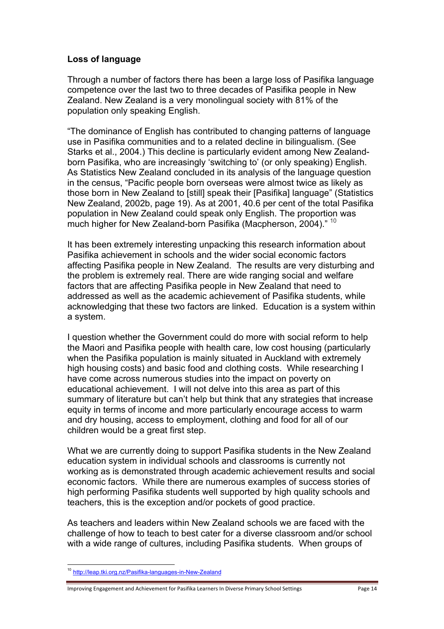#### **Loss of language**

Through a number of factors there has been a large loss of Pasifika language competence over the last two to three decades of Pasifika people in New Zealand. New Zealand is a very monolingual society with 81% of the population only speaking English.

"The dominance of English has contributed to changing patterns of language use in Pasifika communities and to a related decline in bilingualism. (See Starks et al., 2004.) This decline is particularly evident among New Zealandborn Pasifika, who are increasingly 'switching to' (or only speaking) English. As Statistics New Zealand concluded in its analysis of the language question in the census, "Pacific people born overseas were almost twice as likely as those born in New Zealand to [still] speak their [Pasifika] language" (Statistics New Zealand, 2002b, page 19). As at 2001, 40.6 per cent of the total Pasifika population in New Zealand could speak only English. The proportion was much higher for New Zealand-born Pasifika (Macpherson, 2004)." <sup>10</sup>

It has been extremely interesting unpacking this research information about Pasifika achievement in schools and the wider social economic factors affecting Pasifika people in New Zealand. The results are very disturbing and the problem is extremely real. There are wide ranging social and welfare factors that are affecting Pasifika people in New Zealand that need to addressed as well as the academic achievement of Pasifika students, while acknowledging that these two factors are linked. Education is a system within a system.

I question whether the Government could do more with social reform to help the Maori and Pasifika people with health care, low cost housing (particularly when the Pasifika population is mainly situated in Auckland with extremely high housing costs) and basic food and clothing costs. While researching I have come across numerous studies into the impact on poverty on educational achievement. I will not delve into this area as part of this summary of literature but can't help but think that any strategies that increase equity in terms of income and more particularly encourage access to warm and dry housing, access to employment, clothing and food for all of our children would be a great first step.

What we are currently doing to support Pasifika students in the New Zealand education system in individual schools and classrooms is currently not working as is demonstrated through academic achievement results and social economic factors. While there are numerous examples of success stories of high performing Pasifika students well supported by high quality schools and teachers, this is the exception and/or pockets of good practice.

As teachers and leaders within New Zealand schools we are faced with the challenge of how to teach to best cater for a diverse classroom and/or school with a wide range of cultures, including Pasifika students. When groups of

!!!!!!!!!!!!!!!!!!!!!!!!!!!!!!!!!!!!!!!!!!!!!!!!!!!!!!!

Improving Engagement and Achievement for Pasifika Learners In Diverse Primary School Settings Page 14

<sup>&</sup>lt;sup>10</sup> http://leap.tki.org.nz/Pasifika-languages-in-New-Zealand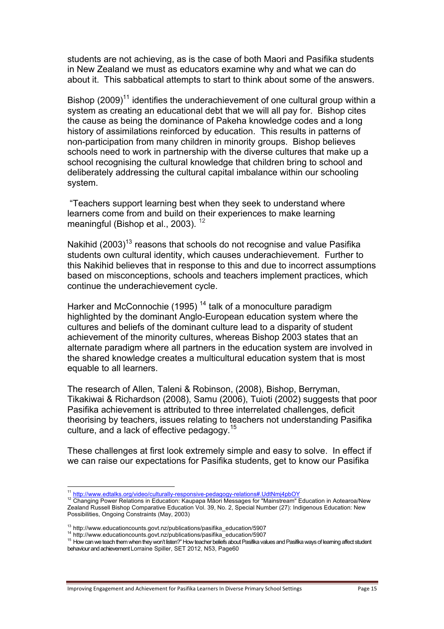students are not achieving, as is the case of both Maori and Pasifika students in New Zealand we must as educators examine why and what we can do about it. This sabbatical attempts to start to think about some of the answers.

Bishop (2009)<sup>11</sup> identifies the underachievement of one cultural group within a system as creating an educational debt that we will all pay for. Bishop cites the cause as being the dominance of Pakeha knowledge codes and a long history of assimilations reinforced by education. This results in patterns of non-participation from many children in minority groups. Bishop believes schools need to work in partnership with the diverse cultures that make up a school recognising the cultural knowledge that children bring to school and deliberately addressing the cultural capital imbalance within our schooling system.

"Teachers support learning best when they seek to understand where learners come from and build on their experiences to make learning meaningful (Bishop et al., 2003).  $12$ 

Nakihid  $(2003)^{13}$  reasons that schools do not recognise and value Pasifika students own cultural identity, which causes underachievement. Further to this Nakihid believes that in response to this and due to incorrect assumptions based on misconceptions, schools and teachers implement practices, which continue the underachievement cycle.

Harker and McConnochie (1995)<sup>14</sup> talk of a monoculture paradigm highlighted by the dominant Anglo-European education system where the cultures and beliefs of the dominant culture lead to a disparity of student achievement of the minority cultures, whereas Bishop 2003 states that an alternate paradigm where all partners in the education system are involved in the shared knowledge creates a multicultural education system that is most equable to all learners.

The research of Allen, Taleni & Robinson, (2008), Bishop, Berryman, Tikakiwai & Richardson (2008), Samu (2006), Tuioti (2002) suggests that poor Pasifika achievement is attributed to three interrelated challenges, deficit theorising by teachers, issues relating to teachers not understanding Pasifika culture, and a lack of effective pedagogy.<sup>15</sup>

These challenges at first look extremely simple and easy to solve. In effect if we can raise our expectations for Pasifika students, get to know our Pasifika

<sup>&</sup>lt;sup>11</sup> http://www.edtalks.org/video/culturally-responsive-pedagogy-relations#.UdtNmj4pbOY<br><sup>12</sup> Changing Power Relations in Education: Kaupapa Māori Messages for "Mainstream" Education in Aotearoa/New Zealand Russell Bishop Comparative Education Vol. 39, No. 2, Special Number (27): Indigenous Education: New Possibilities, Ongoing Constraints (May, 2003)

<sup>&</sup>lt;sup>13</sup> http://www.educationcounts.govt.nz/publications/pasifika\_education/5907<br><sup>14</sup> http://www.educationcounts.govt.nz/publications/pasifika\_education/5907<br><sup>15</sup> How can we teach them when they won't listen?" How teacher beli behaviour and achievement Lorraine Spiller, SET 2012, N53, Page60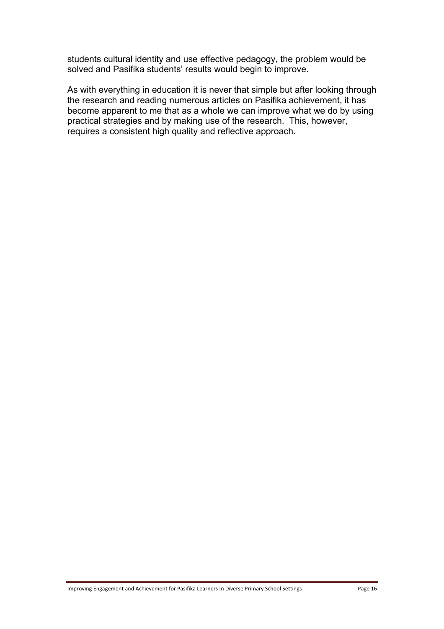students cultural identity and use effective pedagogy, the problem would be solved and Pasifika students' results would begin to improve.

As with everything in education it is never that simple but after looking through the research and reading numerous articles on Pasifika achievement, it has become apparent to me that as a whole we can improve what we do by using practical strategies and by making use of the research. This, however, requires a consistent high quality and reflective approach.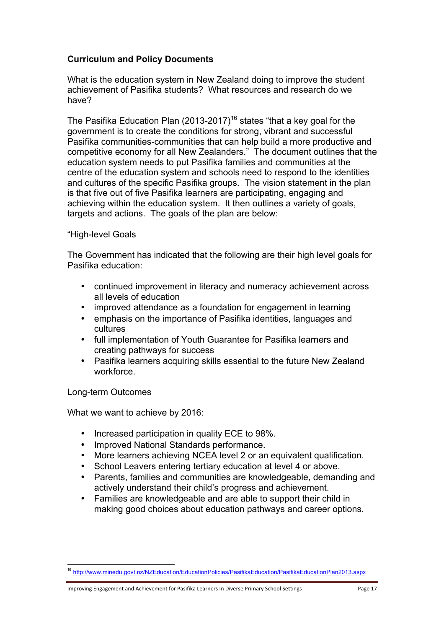## **Curriculum and Policy Documents**

What is the education system in New Zealand doing to improve the student achievement of Pasifika students? What resources and research do we have?

The Pasifika Education Plan (2013-2017)<sup>16</sup> states "that a key goal for the government is to create the conditions for strong, vibrant and successful Pasifika communities-communities that can help build a more productive and competitive economy for all New Zealanders." The document outlines that the education system needs to put Pasifika families and communities at the centre of the education system and schools need to respond to the identities and cultures of the specific Pasifika groups. The vision statement in the plan is that five out of five Pasifika learners are participating, engaging and achieving within the education system. It then outlines a variety of goals, targets and actions. The goals of the plan are below:

#### "High-level Goals

The Government has indicated that the following are their high level goals for Pasifika education:

- continued improvement in literacy and numeracy achievement across all levels of education
- improved attendance as a foundation for engagement in learning
- emphasis on the importance of Pasifika identities, languages and cultures
- full implementation of Youth Guarantee for Pasifika learners and creating pathways for success
- Pasifika learners acquiring skills essential to the future New Zealand workforce.

Long-term Outcomes

What we want to achieve by 2016:

- Increased participation in quality ECE to 98%.
- Improved National Standards performance.
- More learners achieving NCEA level 2 or an equivalent qualification.
- School Leavers entering tertiary education at level 4 or above.
- Parents, families and communities are knowledgeable, demanding and actively understand their child's progress and achievement.
- Families are knowledgeable and are able to support their child in making good choices about education pathways and career options.

<sup>16</sup> http://www.minedu.govt.nz/NZEducation/EducationPolicies/PasifikaEducation/PasifikaEducationPlan2013.aspx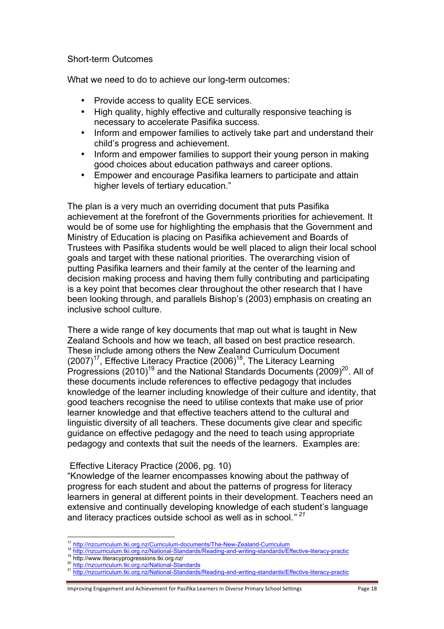#### Short-term Outcomes

What we need to do to achieve our long-term outcomes:

- Provide access to quality ECE services.
- High quality, highly effective and culturally responsive teaching is necessary to accelerate Pasifika success.
- Inform and empower families to actively take part and understand their child's progress and achievement.
- Inform and empower families to support their young person in making good choices about education pathways and career options.
- Empower and encourage Pasifika learners to participate and attain higher levels of tertiary education."

The plan is a very much an overriding document that puts Pasifika achievement at the forefront of the Governments priorities for achievement. It would be of some use for highlighting the emphasis that the Government and Ministry of Education is placing on Pasifika achievement and Boards of Trustees with Pasifika students would be well placed to align their local school goals and target with these national priorities. The overarching vision of putting Pasifika learners and their family at the center of the learning and decision making process and having them fully contributing and participating is a key point that becomes clear throughout the other research that I have been looking through, and parallels Bishop's (2003) emphasis on creating an inclusive school culture.

There a wide range of key documents that map out what is taught in New Zealand Schools and how we teach, all based on best practice research. These include among others the New Zealand Curriculum Document (2007)<sup>17</sup>, Effective Literacy Practice (2006)<sup>18</sup>, The Literacy Learning Progressions (2010)<sup>19</sup> and the National Standards Documents (2009)<sup>20</sup>. All of these documents include references to effective pedagogy that includes knowledge of the learner including knowledge of their culture and identity, that good teachers recognise the need to utilise contexts that make use of prior learner knowledge and that effective teachers attend to the cultural and linguistic diversity of all teachers. These documents give clear and specific guidance on effective pedagogy and the need to teach using appropriate pedagogy and contexts that suit the needs of the learners. Examples are:

#### Effective Literacy Practice (2006, pg. 10)

"Knowledge of the learner encompasses knowing about the pathway of progress for each student and about the patterns of progress for literacy learners in general at different points in their development. Teachers need an extensive and continually developing knowledge of each student's language and literacy practices outside school as well as in school.*" 21*

<sup>17</sup> http://nzcurriculum.tki.org.nz/Curriculum-documents/The-New-Zealand-Curriculum

<sup>&</sup>lt;sup>18</sup><br>http://nzcurriculum.tki.org.nz/National-Standards/Reading-and-writing-standards/Effective-literacy-practic<br><sup>19</sup> http://www.literacyprogressions.tki.org.nz/<br><sup>20</sup> http://nzcurriculum.tki.org.nz/National-Standards<br><sup>21</sup> h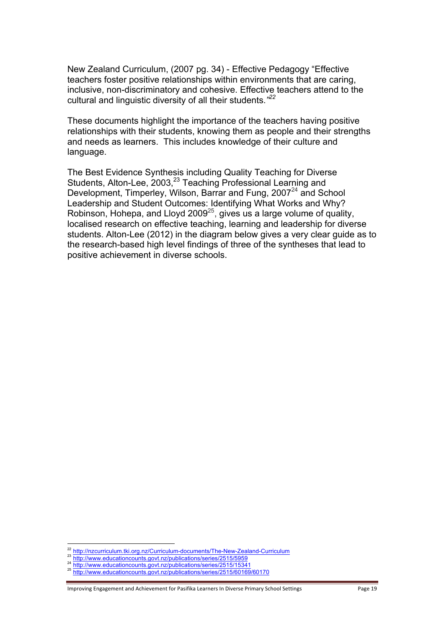New Zealand Curriculum, (2007 pg. 34) - Effective Pedagogy "Effective teachers foster positive relationships within environments that are caring, inclusive, non-discriminatory and cohesive. Effective teachers attend to the cultural and linguistic diversity of all their students.*" 22*

These documents highlight the importance of the teachers having positive relationships with their students, knowing them as people and their strengths and needs as learners. This includes knowledge of their culture and language.

The Best Evidence Synthesis including Quality Teaching for Diverse Students, Alton-Lee, 2003,<sup>23</sup> Teaching Professional Learning and Development, Timperley, Wilson, Barrar and Fung, 2007<sup>24</sup> and School Leadership and Student Outcomes: Identifying What Works and Why? Robinson, Hohepa, and Lloyd 2009<sup>25</sup>, gives us a large volume of quality, localised research on effective teaching, learning and leadership for diverse students. Alton-Lee (2012) in the diagram below gives a very clear guide as to the research-based high level findings of three of the syntheses that lead to positive achievement in diverse schools.

 $22 \frac{\text{http://nzcurriculum.tki.org.nz/Curriculum-documents/The-New-Zealand-Curriculum}}{\text{http://www.educationcounts.gov/nz/publications/series/2515/5959}} \frac{\text{http://www.educationcounts.gov/nz/publications/series/2515/5959}}{\text{http://www.educationcounts.gov/nz/publications/series/2515/15341}}$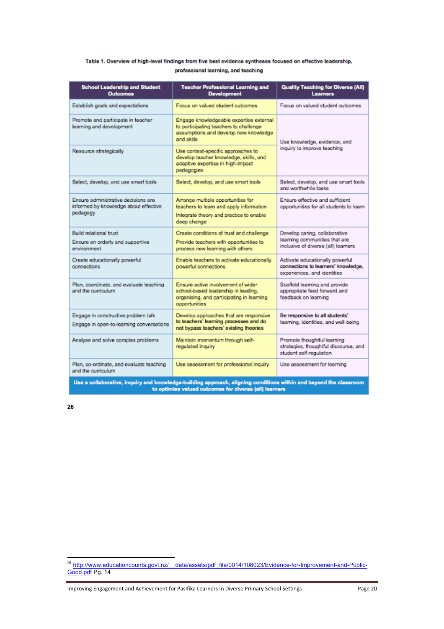#### Table 1. Overview of high-level findings from five best evidence syntheses focused on effective leadership, professional learning, and teaching

| <b>School Leadership and Student</b><br><b>Outcomes</b>                                                                                                                     | <b>Teacher Professional Learning and</b><br><b>Development</b>                                                                            | <b>Quality Teaching for Diverse (All)</b><br><b>Learners</b>                                          |  |
|-----------------------------------------------------------------------------------------------------------------------------------------------------------------------------|-------------------------------------------------------------------------------------------------------------------------------------------|-------------------------------------------------------------------------------------------------------|--|
| Establish goals and expectations                                                                                                                                            | Focus on valued student outcomes                                                                                                          | Focus on valued student outcomes                                                                      |  |
| Promote and participate in teacher<br>learning and development                                                                                                              | Engage knowledgeable expertise external<br>to participating teachers to challenge<br>assumptions and develop new knowledge<br>and skills. | Use knowledge, evidence, and<br>inquiry to improve teaching                                           |  |
| Resource strategically                                                                                                                                                      | Use context-specific approaches to<br>develop teacher knowledge, skills, and<br>adaptive expertise in high-impact<br>pedagogies           |                                                                                                       |  |
| Select, develop, and use smart tools                                                                                                                                        | Select, develop, and use smart tools                                                                                                      | Select, develop, and use smart tools<br>and worthwhile tasks.                                         |  |
| Ensure administrative decisions are<br>informed by knowledge about effective<br>pedagogy                                                                                    | Arrange multiple opportunities for<br>teachers to learn and apply information<br>Integrate theory and practice to enable<br>deep change   | Ensure effective and sufficient<br>opportunities for all students to learn                            |  |
| <b>Build relational trust</b><br>Ensure an orderly and supportive<br>environment                                                                                            | Create conditions of trust and challenge<br>Provide teachers with opportunities to<br>process new learning with others                    | Develop caring, collaborative<br>learning communities that are<br>inclusive of diverse (all) learners |  |
| Create educationally powerful<br>connections                                                                                                                                | Enable teachers to activate educationally<br>powerful connections                                                                         | Activate educationally powerful<br>connections to learners' knowledge,<br>experiences, and identities |  |
| Plan, coordinate, and evaluate teaching<br>and the curriculum.                                                                                                              | Ensure active involvement of wider<br>school-based leadership in leading.<br>organising, and participating in learning<br>opportunities   | Scaffold learning and provide<br>appropriate feed forward and<br>feedback on learning                 |  |
| Engage in constructive problem talk<br>Engage in open-to-learning conversations                                                                                             | Develop approaches that are responsive<br>to teachers' learning processes and do<br>not bypass teachers' existing theories                | Be responsive to all students'<br>learning, identities, and well-being                                |  |
| Analyse and solve complex problems                                                                                                                                          | Maintain momentum through self-<br>regulated inquiry                                                                                      | Promote thoughtful learning<br>strategies, thoughtful discourse, and<br>student self-regulation       |  |
| Plan, co-ordinate, and evaluate teaching<br>and the curriculum                                                                                                              | Use assessment for professional inquiry                                                                                                   | Use assessment for learning                                                                           |  |
| Use a collaborative, inquiry and knowledge-building approach, aligning conditions within and beyond the classroom<br>to optimise valued outcomes for diverse (all) learners |                                                                                                                                           |                                                                                                       |  |

<sup>&</sup>lt;sup>26</sup> http://www.educationcounts.govt.nz/ \_\_data/assets/pdf\_file/0014/108023/Evidence-for-Improvement-and-Public-Good.pdf Pg. 14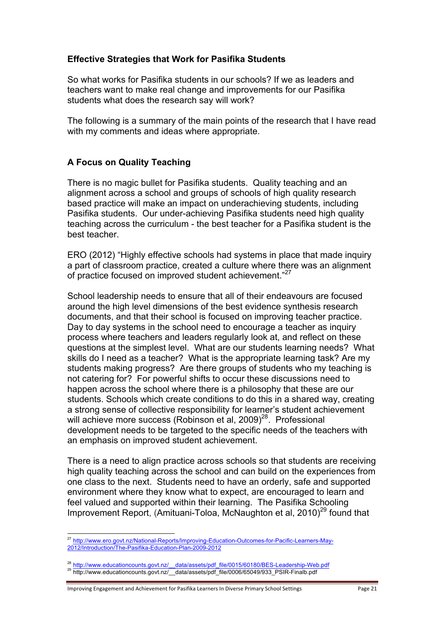#### **Effective Strategies that Work for Pasifika Students**

So what works for Pasifika students in our schools? If we as leaders and teachers want to make real change and improvements for our Pasifika students what does the research say will work?

The following is a summary of the main points of the research that I have read with my comments and ideas where appropriate.

## **A Focus on Quality Teaching**

There is no magic bullet for Pasifika students. Quality teaching and an alignment across a school and groups of schools of high quality research based practice will make an impact on underachieving students, including Pasifika students. Our under-achieving Pasifika students need high quality teaching across the curriculum - the best teacher for a Pasifika student is the best teacher.

ERO (2012) "Highly effective schools had systems in place that made inquiry a part of classroom practice, created a culture where there was an alignment of practice focused on improved student achievement."<sup>27</sup>

School leadership needs to ensure that all of their endeavours are focused around the high level dimensions of the best evidence synthesis research documents, and that their school is focused on improving teacher practice. Day to day systems in the school need to encourage a teacher as inquiry process where teachers and leaders regularly look at, and reflect on these questions at the simplest level. What are our students learning needs? What skills do I need as a teacher? What is the appropriate learning task? Are my students making progress? Are there groups of students who my teaching is not catering for? For powerful shifts to occur these discussions need to happen across the school where there is a philosophy that these are our students. Schools which create conditions to do this in a shared way, creating a strong sense of collective responsibility for learner's student achievement will achieve more success (Robinson et al, 2009)<sup>28</sup>. Professional development needs to be targeted to the specific needs of the teachers with an emphasis on improved student achievement.

There is a need to align practice across schools so that students are receiving high quality teaching across the school and can build on the experiences from one class to the next. Students need to have an orderly, safe and supported environment where they know what to expect, are encouraged to learn and feel valued and supported within their learning. The Pasifika Schooling Improvement Report, (Amituani-Toloa, McNaughton et al,  $2010)^{29}$  found that

Improving Engagement and Achievement for Pasifika Learners In Diverse Primary School Settings Page 21

<sup>&</sup>lt;sup>27</sup> http://www.ero.govt.nz/National-Reports/Improving-Education-Outcomes-for-Pacific-Learners-May-2012/Introduction/The-Pasifika-Education-Plan-2009-2012

<sup>&</sup>lt;sup>28</sup> http://www.educationcounts.govt.nz/ \_\_data/assets/pdf\_file/0015/60180/BES-Leadership-Web.pdf<br><sup>29</sup> http://www.educationcounts.govt.nz/\_\_data/assets/pdf\_file/0006/65049/933\_PSIR-Finalb.pdf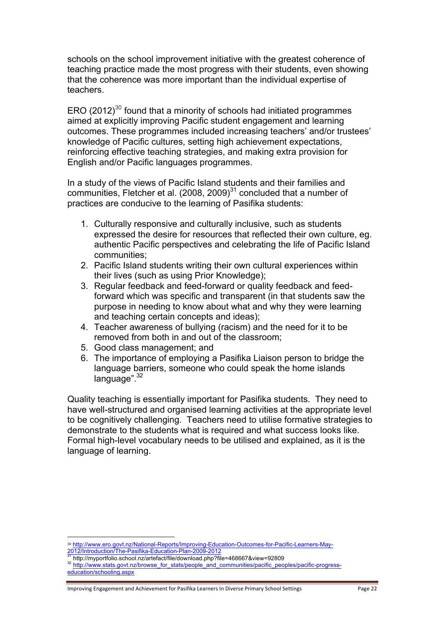schools on the school improvement initiative with the greatest coherence of teaching practice made the most progress with their students, even showing that the coherence was more important than the individual expertise of teachers.

ERO (2012)<sup>30</sup> found that a minority of schools had initiated programmes aimed at explicitly improving Pacific student engagement and learning outcomes. These programmes included increasing teachers' and/or trustees' knowledge of Pacific cultures, setting high achievement expectations, reinforcing effective teaching strategies, and making extra provision for English and/or Pacific languages programmes.

In a study of the views of Pacific Island students and their families and communities, Fletcher et al.  $(2008, 2009)^{31}$  concluded that a number of practices are conducive to the learning of Pasifika students:

- 1. Culturally responsive and culturally inclusive, such as students expressed the desire for resources that reflected their own culture, eg. authentic Pacific perspectives and celebrating the life of Pacific Island communities;
- 2. Pacific Island students writing their own cultural experiences within their lives (such as using Prior Knowledge);
- 3. Regular feedback and feed-forward or quality feedback and feedforward which was specific and transparent (in that students saw the purpose in needing to know about what and why they were learning and teaching certain concepts and ideas);
- 4. Teacher awareness of bullying (racism) and the need for it to be removed from both in and out of the classroom;
- 5. Good class management; and
- 6. The importance of employing a Pasifika Liaison person to bridge the language barriers, someone who could speak the home islands  $lanquaae"  $32$$

Quality teaching is essentially important for Pasifika students. They need to have well-structured and organised learning activities at the appropriate level to be cognitively challenging. Teachers need to utilise formative strategies to demonstrate to the students what is required and what success looks like. Formal high-level vocabulary needs to be utilised and explained, as it is the language of learning.

Improving Engagement and Achievement for Pasifika Learners In Diverse Primary School Settings Page 22

<sup>&</sup>lt;sup>30</sup> http://www.ero.govt.nz/National-Reports/Improving-Education-Outcomes-for-Pacific-Learners-May-<br>2012/Introduction/The-Pasifika-Education-Plan-2009-2012<br><sup>31</sup> 1000079 : 000000

 $\frac{31}{2}$  http://myportfolio.school.nz/artefact/file/download.php?file=468667&view=92809<br> $\frac{32}{2}$  http://www.stats.govt.nz/browse\_for\_stats/people\_and\_communities/pacific\_peoples/pacific-progresseducation/schooling.aspx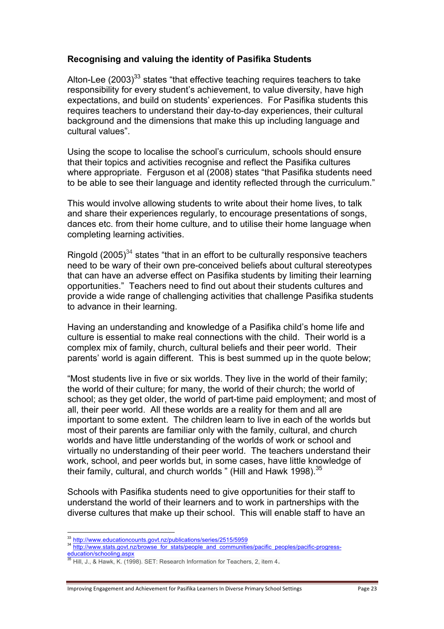#### **Recognising and valuing the identity of Pasifika Students**

Alton-Lee (2003) $^{33}$  states "that effective teaching requires teachers to take responsibility for every student's achievement, to value diversity, have high expectations, and build on students' experiences. For Pasifika students this requires teachers to understand their day-to-day experiences, their cultural background and the dimensions that make this up including language and cultural values".

Using the scope to localise the school's curriculum, schools should ensure that their topics and activities recognise and reflect the Pasifika cultures where appropriate. Ferguson et al (2008) states "that Pasifika students need to be able to see their language and identity reflected through the curriculum."

This would involve allowing students to write about their home lives, to talk and share their experiences regularly, to encourage presentations of songs, dances etc. from their home culture, and to utilise their home language when completing learning activities.

Ringold  $(2005)^{34}$  states "that in an effort to be culturally responsive teachers need to be wary of their own pre-conceived beliefs about cultural stereotypes that can have an adverse effect on Pasifika students by limiting their learning opportunities." Teachers need to find out about their students cultures and provide a wide range of challenging activities that challenge Pasifika students to advance in their learning.

Having an understanding and knowledge of a Pasifika child's home life and culture is essential to make real connections with the child. Their world is a complex mix of family, church, cultural beliefs and their peer world. Their parents' world is again different. This is best summed up in the quote below;

"Most students live in five or six worlds. They live in the world of their family; the world of their culture; for many, the world of their church; the world of school; as they get older, the world of part-time paid employment; and most of all, their peer world. All these worlds are a reality for them and all are important to some extent. The children learn to live in each of the worlds but most of their parents are familiar only with the family, cultural, and church worlds and have little understanding of the worlds of work or school and virtually no understanding of their peer world. The teachers understand their work, school, and peer worlds but, in some cases, have little knowledge of their family, cultural, and church worlds " (Hill and Hawk 1998).  $35$ 

Schools with Pasifika students need to give opportunities for their staff to understand the world of their learners and to work in partnerships with the diverse cultures that make up their school. This will enable staff to have an

<sup>!!!!!!!!!!!!!!!!!!!!!!!!!!!!!!!!!!!!!!!!!!!!!!!!!!!!!!!</sup>

<sup>&</sup>lt;sup>33</sup> http://www.educationcounts.govt.nz/publications/series/2515/5959<br><sup>34</sup> http://www.stats.govt.nz/browse\_for\_stats/people\_and\_communities/pacific\_peoples/pacific-progress-

education/schooling.aspx

<sup>35</sup> Hill, J., & Hawk, K. (1998). SET: Research Information for Teachers, 2, item 4.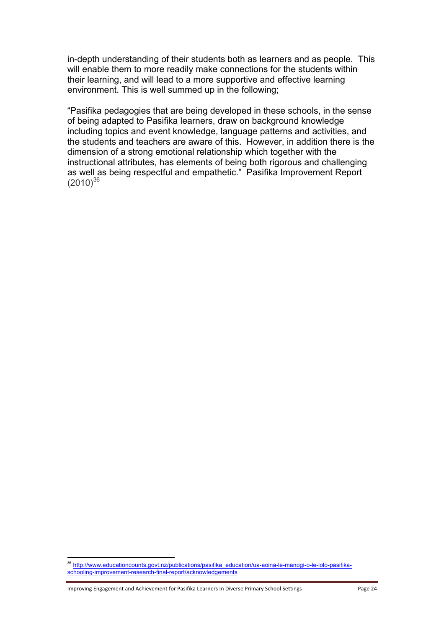in-depth understanding of their students both as learners and as people. This will enable them to more readily make connections for the students within their learning, and will lead to a more supportive and effective learning environment. This is well summed up in the following;

"Pasifika pedagogies that are being developed in these schools, in the sense of being adapted to Pasifika learners, draw on background knowledge including topics and event knowledge, language patterns and activities, and the students and teachers are aware of this. However, in addition there is the dimension of a strong emotional relationship which together with the instructional attributes, has elements of being both rigorous and challenging as well as being respectful and empathetic." Pasifika Improvement Report  $(2010)^{36}$ 

Improving Engagement and Achievement for Pasifika Learners In Diverse Primary School Settings Page 24

<sup>!!!!!!!!!!!!!!!!!!!!!!!!!!!!!!!!!!!!!!!!!!!!!!!!!!!!!!!</sup> <sup>36</sup> http://www.educationcounts.govt.nz/publications/pasifika\_education/ua-aoina-le-manogi-o-le-lolo-pasifikaschooling-improvement-research-final-report/acknowledgements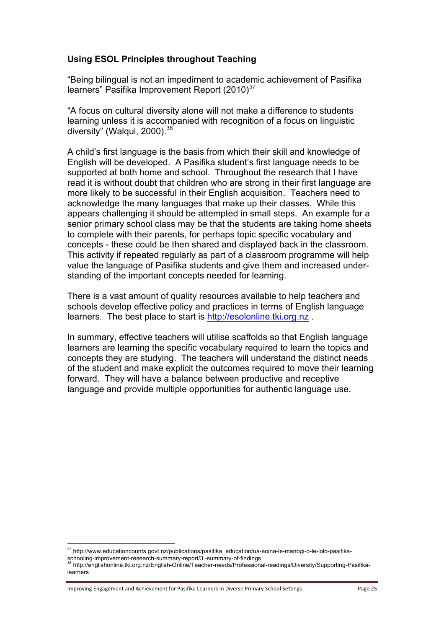#### **Using ESOL Principles throughout Teaching**

"Being bilingual is not an impediment to academic achievement of Pasifika learners" Pasifika Improvement Report (2010) *37*

"A focus on cultural diversity alone will not make a difference to students learning unless it is accompanied with recognition of a focus on linguistic diversity" (Walqui, 2000).<sup>38</sup>

A child's first language is the basis from which their skill and knowledge of English will be developed. A Pasifika student's first language needs to be supported at both home and school. Throughout the research that I have read it is without doubt that children who are strong in their first language are more likely to be successful in their English acquisition. Teachers need to acknowledge the many languages that make up their classes. While this appears challenging it should be attempted in small steps. An example for a senior primary school class may be that the students are taking home sheets to complete with their parents, for perhaps topic specific vocabulary and concepts - these could be then shared and displayed back in the classroom. This activity if repeated regularly as part of a classroom programme will help value the language of Pasifika students and give them and increased understanding of the important concepts needed for learning.

There is a vast amount of quality resources available to help teachers and schools develop effective policy and practices in terms of English language learners. The best place to start is http://esolonline.tki.org.nz.

In summary, effective teachers will utilise scaffolds so that English language learners are learning the specific vocabulary required to learn the topics and concepts they are studying. The teachers will understand the distinct needs of the student and make explicit the outcomes required to move their learning forward. They will have a balance between productive and receptive language and provide multiple opportunities for authentic language use.

Improving Engagement and Achievement for Pasifika Learners In Diverse Primary School Settings Page 25

<sup>&</sup>lt;sup>37</sup> http://www.educationcounts.govt.nz/publications/pasifika\_education/ua-aoina-le-manogi-o-le-lolo-pasifika-<br>schooling-improvement-research-summary-report/3.-summary-of-findings<br><sup>38</sup> http://positionalishedian.dividence

http://englishonline.tki.org.nz/English-Online/Teacher-needs/Professional-readings/Diversity/Supporting-Pasifikalearners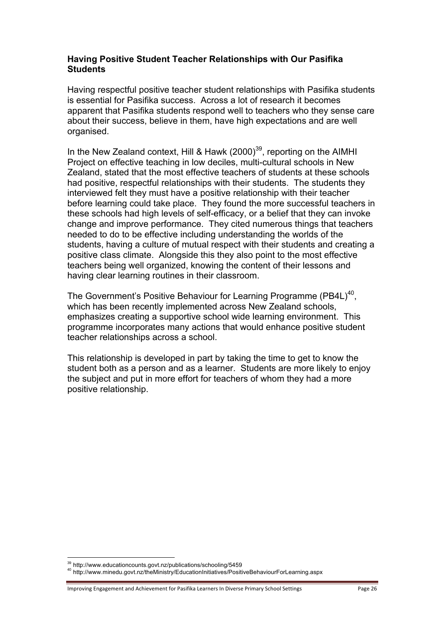#### **Having Positive Student Teacher Relationships with Our Pasifika Students**

Having respectful positive teacher student relationships with Pasifika students is essential for Pasifika success. Across a lot of research it becomes apparent that Pasifika students respond well to teachers who they sense care about their success, believe in them, have high expectations and are well organised.

In the New Zealand context, Hill & Hawk  $(2000)^{39}$ , reporting on the AIMHI Project on effective teaching in low deciles, multi-cultural schools in New Zealand, stated that the most effective teachers of students at these schools had positive, respectful relationships with their students. The students they interviewed felt they must have a positive relationship with their teacher before learning could take place. They found the more successful teachers in these schools had high levels of self-efficacy, or a belief that they can invoke change and improve performance. They cited numerous things that teachers needed to do to be effective including understanding the worlds of the students, having a culture of mutual respect with their students and creating a positive class climate. Alongside this they also point to the most effective teachers being well organized, knowing the content of their lessons and having clear learning routines in their classroom.

The Government's Positive Behaviour for Learning Programme (PB4L)<sup>40</sup>, which has been recently implemented across New Zealand schools, emphasizes creating a supportive school wide learning environment. This programme incorporates many actions that would enhance positive student teacher relationships across a school.

This relationship is developed in part by taking the time to get to know the student both as a person and as a learner. Students are more likely to enjoy the subject and put in more effort for teachers of whom they had a more positive relationship.

<sup>!!!!!!!!!!!!!!!!!!!!!!!!!!!!!!!!!!!!!!!!!!!!!!!!!!!!!!!</sup>

<sup>&</sup>lt;sup>39</sup> http://www.educationcounts.govt.nz/publications/schooling/5459<br><sup>40</sup> http://www.minedu.govt.nz/theMinistry/EducationInitiatives/PositiveBehaviourForLearning.aspx

Improving Engagement and Achievement for Pasifika Learners In Diverse Primary School Settings Page 26 Page 26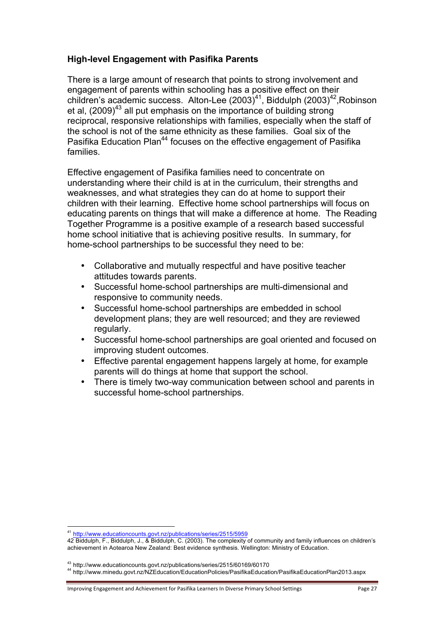### **High-level Engagement with Pasifika Parents**

There is a large amount of research that points to strong involvement and engagement of parents within schooling has a positive effect on their children's academic success. Alton-Lee (2003)<sup>41</sup>, Biddulph (2003)<sup>42</sup>, Robinson et al, (2009)<sup>43</sup> all put emphasis on the importance of building strong reciprocal, responsive relationships with families, especially when the staff of the school is not of the same ethnicity as these families. Goal six of the Pasifika Education Plan<sup>44</sup> focuses on the effective engagement of Pasifika families.

Effective engagement of Pasifika families need to concentrate on understanding where their child is at in the curriculum, their strengths and weaknesses, and what strategies they can do at home to support their children with their learning. Effective home school partnerships will focus on educating parents on things that will make a difference at home. The Reading Together Programme is a positive example of a research based successful home school initiative that is achieving positive results. In summary, for home-school partnerships to be successful they need to be:

- Collaborative and mutually respectful and have positive teacher attitudes towards parents.
- Successful home-school partnerships are multi-dimensional and responsive to community needs.
- Successful home-school partnerships are embedded in school development plans; they are well resourced; and they are reviewed regularly.
- Successful home-school partnerships are goal oriented and focused on improving student outcomes.
- Effective parental engagement happens largely at home, for example parents will do things at home that support the school.
- There is timely two-way communication between school and parents in successful home-school partnerships.

<sup>41</sup> http://www.educationcounts.govt.nz/publications/series/2515/5959

<sup>42</sup> Biddulph, F., Biddulph, J., & Biddulph, C. (2003). The complexity of community and family influences on children's achievement in Aotearoa New Zealand: Best evidence synthesis. Wellington: Ministry of Education.

<sup>&</sup>lt;sup>43</sup> http://www.educationcounts.govt.nz/publications/series/2515/60169/60170<br><sup>44</sup> http://www.minedu.govt.nz/NZEducation/EducationPolicies/PasifikaEducation/PasifikaEducationPlan2013.aspx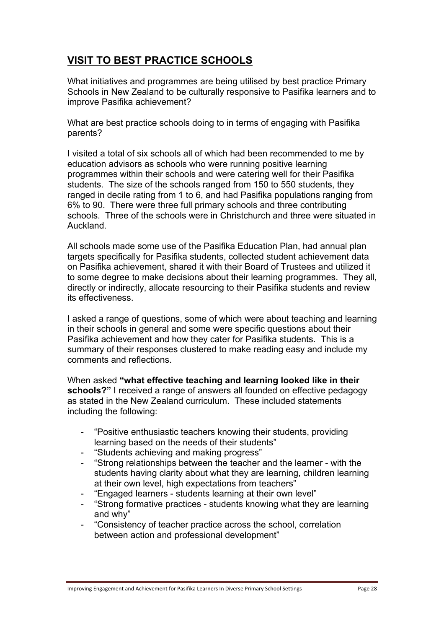# **VISIT TO BEST PRACTICE SCHOOLS**

What initiatives and programmes are being utilised by best practice Primary Schools in New Zealand to be culturally responsive to Pasifika learners and to improve Pasifika achievement?

What are best practice schools doing to in terms of engaging with Pasifika parents?

I visited a total of six schools all of which had been recommended to me by education advisors as schools who were running positive learning programmes within their schools and were catering well for their Pasifika students. The size of the schools ranged from 150 to 550 students, they ranged in decile rating from 1 to 6, and had Pasifika populations ranging from 6% to 90. There were three full primary schools and three contributing schools. Three of the schools were in Christchurch and three were situated in Auckland.

All schools made some use of the Pasifika Education Plan, had annual plan targets specifically for Pasifika students, collected student achievement data on Pasifika achievement, shared it with their Board of Trustees and utilized it to some degree to make decisions about their learning programmes. They all, directly or indirectly, allocate resourcing to their Pasifika students and review its effectiveness.

I asked a range of questions, some of which were about teaching and learning in their schools in general and some were specific questions about their Pasifika achievement and how they cater for Pasifika students. This is a summary of their responses clustered to make reading easy and include my comments and reflections.

When asked **"what effective teaching and learning looked like in their schools?"** I received a range of answers all founded on effective pedagogy as stated in the New Zealand curriculum. These included statements including the following:

- "Positive enthusiastic teachers knowing their students, providing learning based on the needs of their students"
- "Students achieving and making progress"
- "Strong relationships between the teacher and the learner with the students having clarity about what they are learning, children learning at their own level, high expectations from teachers"
- "Engaged learners students learning at their own level"
- "Strong formative practices students knowing what they are learning and why"
- "Consistency of teacher practice across the school, correlation between action and professional development"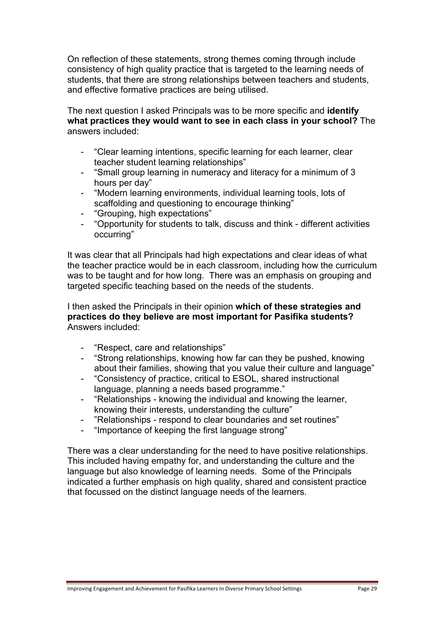On reflection of these statements, strong themes coming through include consistency of high quality practice that is targeted to the learning needs of students, that there are strong relationships between teachers and students, and effective formative practices are being utilised.

The next question I asked Principals was to be more specific and **identify what practices they would want to see in each class in your school?** The answers included:

- "Clear learning intentions, specific learning for each learner, clear teacher student learning relationships"
- "Small group learning in numeracy and literacy for a minimum of 3 hours per day"
- "Modern learning environments, individual learning tools, lots of scaffolding and questioning to encourage thinking"
- "Grouping, high expectations"
- "Opportunity for students to talk, discuss and think different activities occurring"

It was clear that all Principals had high expectations and clear ideas of what the teacher practice would be in each classroom, including how the curriculum was to be taught and for how long. There was an emphasis on grouping and targeted specific teaching based on the needs of the students.

I then asked the Principals in their opinion **which of these strategies and practices do they believe are most important for Pasifika students?** Answers included:

- "Respect, care and relationships"
- "Strong relationships, knowing how far can they be pushed, knowing about their families, showing that you value their culture and language"
- "Consistency of practice, critical to ESOL, shared instructional language, planning a needs based programme."
- "Relationships knowing the individual and knowing the learner, knowing their interests, understanding the culture"
- "Relationships respond to clear boundaries and set routines"
- "Importance of keeping the first language strong"

There was a clear understanding for the need to have positive relationships. This included having empathy for, and understanding the culture and the language but also knowledge of learning needs. Some of the Principals indicated a further emphasis on high quality, shared and consistent practice that focussed on the distinct language needs of the learners.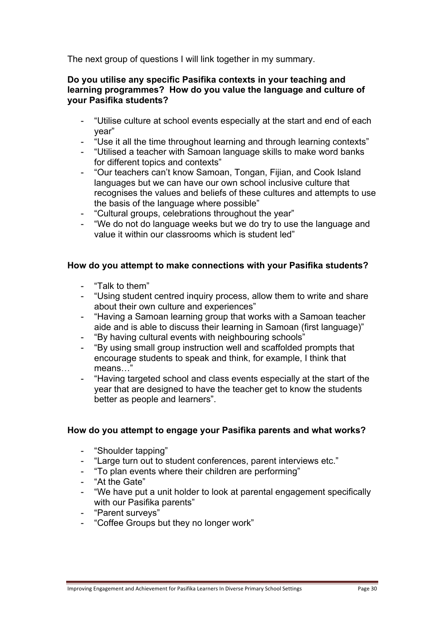The next group of questions I will link together in my summary.

#### **Do you utilise any specific Pasifika contexts in your teaching and learning programmes? How do you value the language and culture of your Pasifika students?**

- "Utilise culture at school events especially at the start and end of each year"
- "Use it all the time throughout learning and through learning contexts"
- "Utilised a teacher with Samoan language skills to make word banks for different topics and contexts"
- "Our teachers can't know Samoan, Tongan, Fijian, and Cook Island languages but we can have our own school inclusive culture that recognises the values and beliefs of these cultures and attempts to use the basis of the language where possible"
- "Cultural groups, celebrations throughout the year"
- "We do not do language weeks but we do try to use the language and value it within our classrooms which is student led"

#### **How do you attempt to make connections with your Pasifika students?**

- "Talk to them"
- "Using student centred inquiry process, allow them to write and share about their own culture and experiences"
- "Having a Samoan learning group that works with a Samoan teacher aide and is able to discuss their learning in Samoan (first language)"
- "By having cultural events with neighbouring schools"
- "By using small group instruction well and scaffolded prompts that encourage students to speak and think, for example, I think that means…"
- "Having targeted school and class events especially at the start of the year that are designed to have the teacher get to know the students better as people and learners".

#### **How do you attempt to engage your Pasifika parents and what works?**

- "Shoulder tapping"
- "Large turn out to student conferences, parent interviews etc."
- "To plan events where their children are performing"
- "At the Gate"
- "We have put a unit holder to look at parental engagement specifically with our Pasifika parents"
- "Parent surveys"
- "Coffee Groups but they no longer work"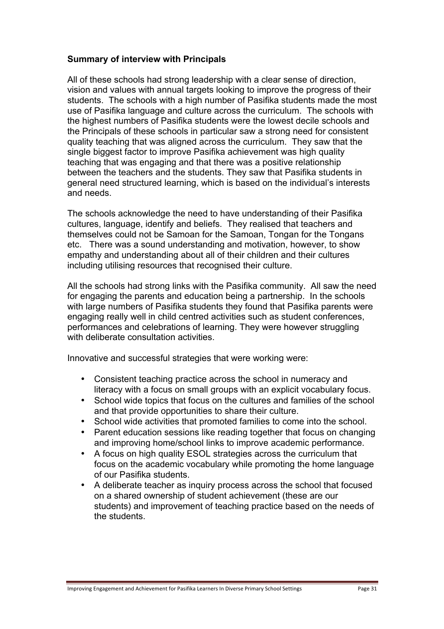#### **Summary of interview with Principals**

All of these schools had strong leadership with a clear sense of direction, vision and values with annual targets looking to improve the progress of their students. The schools with a high number of Pasifika students made the most use of Pasifika language and culture across the curriculum. The schools with the highest numbers of Pasifika students were the lowest decile schools and the Principals of these schools in particular saw a strong need for consistent quality teaching that was aligned across the curriculum. They saw that the single biggest factor to improve Pasifika achievement was high quality teaching that was engaging and that there was a positive relationship between the teachers and the students. They saw that Pasifika students in general need structured learning, which is based on the individual's interests and needs.

The schools acknowledge the need to have understanding of their Pasifika cultures, language, identify and beliefs. They realised that teachers and themselves could not be Samoan for the Samoan, Tongan for the Tongans etc. There was a sound understanding and motivation, however, to show empathy and understanding about all of their children and their cultures including utilising resources that recognised their culture.

All the schools had strong links with the Pasifika community. All saw the need for engaging the parents and education being a partnership. In the schools with large numbers of Pasifika students they found that Pasifika parents were engaging really well in child centred activities such as student conferences, performances and celebrations of learning. They were however struggling with deliberate consultation activities.

Innovative and successful strategies that were working were:

- Consistent teaching practice across the school in numeracy and literacy with a focus on small groups with an explicit vocabulary focus.
- School wide topics that focus on the cultures and families of the school and that provide opportunities to share their culture.
- School wide activities that promoted families to come into the school.
- Parent education sessions like reading together that focus on changing and improving home/school links to improve academic performance.
- A focus on high quality ESOL strategies across the curriculum that focus on the academic vocabulary while promoting the home language of our Pasifika students.
- A deliberate teacher as inquiry process across the school that focused on a shared ownership of student achievement (these are our students) and improvement of teaching practice based on the needs of the students.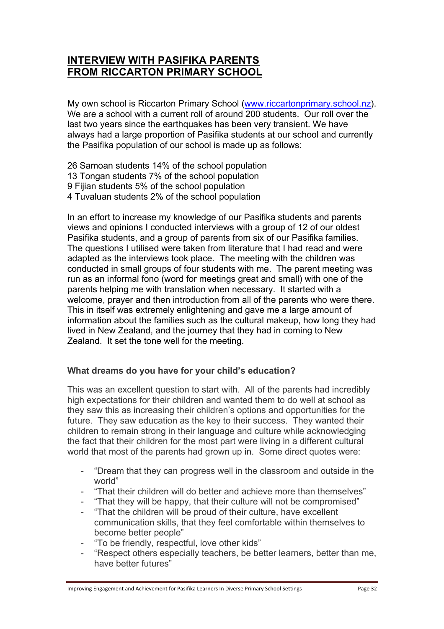## **INTERVIEW WITH PASIFIKA PARENTS FROM RICCARTON PRIMARY SCHOOL**

My own school is Riccarton Primary School (www.riccartonprimary.school.nz). We are a school with a current roll of around 200 students. Our roll over the last two years since the earthquakes has been very transient. We have always had a large proportion of Pasifika students at our school and currently the Pasifika population of our school is made up as follows:

- 26 Samoan students 14% of the school population
- 13 Tongan students 7% of the school population
- 9 Fijian students 5% of the school population
- 4 Tuvaluan students 2% of the school population

In an effort to increase my knowledge of our Pasifika students and parents views and opinions I conducted interviews with a group of 12 of our oldest Pasifika students, and a group of parents from six of our Pasifika families. The questions I utilised were taken from literature that I had read and were adapted as the interviews took place. The meeting with the children was conducted in small groups of four students with me. The parent meeting was run as an informal fono (word for meetings great and small) with one of the parents helping me with translation when necessary. It started with a welcome, prayer and then introduction from all of the parents who were there. This in itself was extremely enlightening and gave me a large amount of information about the families such as the cultural makeup, how long they had lived in New Zealand, and the journey that they had in coming to New Zealand. It set the tone well for the meeting.

#### **What dreams do you have for your child's education?**

This was an excellent question to start with. All of the parents had incredibly high expectations for their children and wanted them to do well at school as they saw this as increasing their children's options and opportunities for the future. They saw education as the key to their success. They wanted their children to remain strong in their language and culture while acknowledging the fact that their children for the most part were living in a different cultural world that most of the parents had grown up in. Some direct quotes were:

- "Dream that they can progress well in the classroom and outside in the world"
- "That their children will do better and achieve more than themselves"
- "That they will be happy, that their culture will not be compromised"
- "That the children will be proud of their culture, have excellent communication skills, that they feel comfortable within themselves to become better people"
- "To be friendly, respectful, love other kids"
- "Respect others especially teachers, be better learners, better than me, have better futures"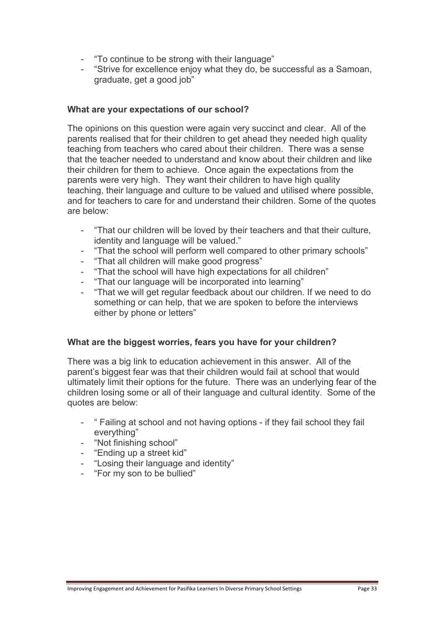- "To continue to be strong with their language"
- "Strive for excellence enjoy what they do, be successful as a Samoan, graduate, get a good job"

#### **What are your expectations of our school?**

The opinions on this question were again very succinct and clear. All of the parents realised that for their children to get ahead they needed high quality teaching from teachers who cared about their children. There was a sense that the teacher needed to understand and know about their children and like their children for them to achieve. Once again the expectations from the parents were very high. They want their children to have high quality teaching, their language and culture to be valued and utilised where possible, and for teachers to care for and understand their children. Some of the quotes are below:

- "That our children will be loved by their teachers and that their culture, identity and language will be valued."
- "That the school will perform well compared to other primary schools"
- "That all children will make good progress"
- "That the school will have high expectations for all children"
- "That our language will be incorporated into learning"
- "That we will get regular feedback about our children. If we need to do something or can help, that we are spoken to before the interviews either by phone or letters"

#### **What are the biggest worries, fears you have for your children?**

There was a big link to education achievement in this answer. All of the parent's biggest fear was that their children would fail at school that would ultimately limit their options for the future. There was an underlying fear of the children losing some or all of their language and cultural identity. Some of the quotes are below:

- " Failing at school and not having options if they fail school they fail everything"
- "Not finishing school"
- "Ending up a street kid"
- "Losing their language and identity"
- "For my son to be bullied"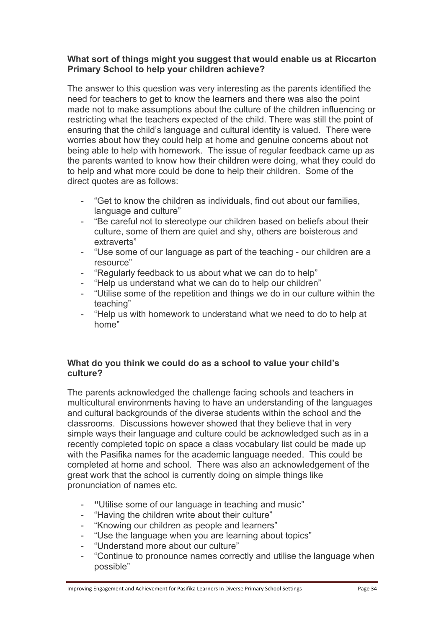#### **What sort of things might you suggest that would enable us at Riccarton Primary School to help your children achieve?**

The answer to this question was very interesting as the parents identified the need for teachers to get to know the learners and there was also the point made not to make assumptions about the culture of the children influencing or restricting what the teachers expected of the child. There was still the point of ensuring that the child's language and cultural identity is valued. There were worries about how they could help at home and genuine concerns about not being able to help with homework. The issue of regular feedback came up as the parents wanted to know how their children were doing, what they could do to help and what more could be done to help their children. Some of the direct quotes are as follows:

- "Get to know the children as individuals, find out about our families, language and culture"
- "Be careful not to stereotype our children based on beliefs about their culture, some of them are quiet and shy, others are boisterous and extraverts"
- "Use some of our language as part of the teaching our children are a resource"
- "Regularly feedback to us about what we can do to help"
- "Help us understand what we can do to help our children"
- "Utilise some of the repetition and things we do in our culture within the teaching"
- "Help us with homework to understand what we need to do to help at home"

#### **What do you think we could do as a school to value your child's culture?**

The parents acknowledged the challenge facing schools and teachers in multicultural environments having to have an understanding of the languages and cultural backgrounds of the diverse students within the school and the classrooms. Discussions however showed that they believe that in very simple ways their language and culture could be acknowledged such as in a recently completed topic on space a class vocabulary list could be made up with the Pasifika names for the academic language needed. This could be completed at home and school. There was also an acknowledgement of the great work that the school is currently doing on simple things like pronunciation of names etc.

- **"**Utilise some of our language in teaching and music"
- "Having the children write about their culture"
- "Knowing our children as people and learners"
- "Use the language when you are learning about topics"
- "Understand more about our culture"
- "Continue to pronounce names correctly and utilise the language when possible"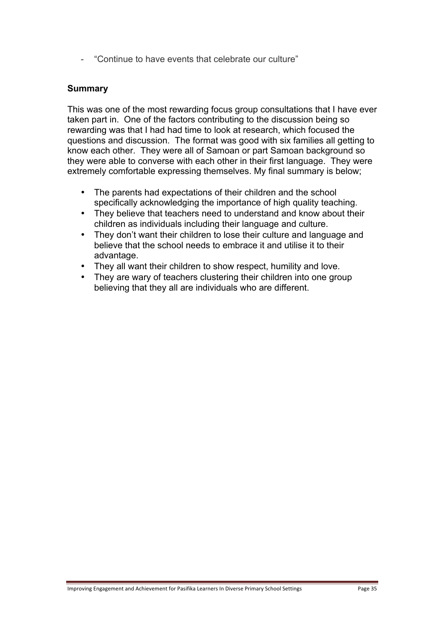- "Continue to have events that celebrate our culture"

#### **Summary**

This was one of the most rewarding focus group consultations that I have ever taken part in. One of the factors contributing to the discussion being so rewarding was that I had had time to look at research, which focused the questions and discussion. The format was good with six families all getting to know each other. They were all of Samoan or part Samoan background so they were able to converse with each other in their first language. They were extremely comfortable expressing themselves. My final summary is below;

- The parents had expectations of their children and the school specifically acknowledging the importance of high quality teaching.
- They believe that teachers need to understand and know about their children as individuals including their language and culture.
- They don't want their children to lose their culture and language and believe that the school needs to embrace it and utilise it to their advantage.
- They all want their children to show respect, humility and love.
- They are wary of teachers clustering their children into one group believing that they all are individuals who are different.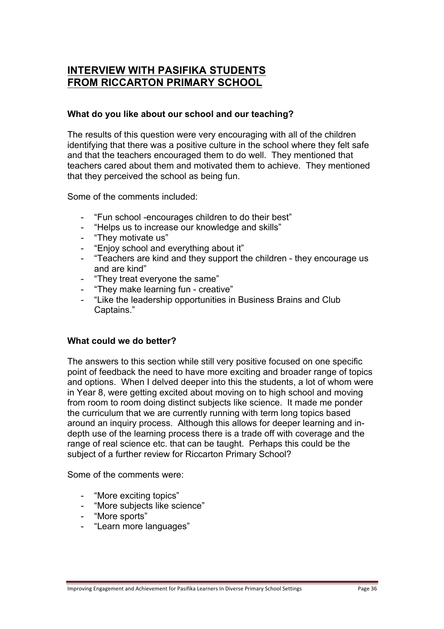## **INTERVIEW WITH PASIFIKA STUDENTS FROM RICCARTON PRIMARY SCHOOL**

#### **What do you like about our school and our teaching?**

The results of this question were very encouraging with all of the children identifying that there was a positive culture in the school where they felt safe and that the teachers encouraged them to do well. They mentioned that teachers cared about them and motivated them to achieve. They mentioned that they perceived the school as being fun.

Some of the comments included:

- "Fun school -encourages children to do their best"
- "Helps us to increase our knowledge and skills"
- "They motivate us"
- "Enjoy school and everything about it"
- "Teachers are kind and they support the children they encourage us and are kind"
- "They treat everyone the same"
- "They make learning fun creative"
- "Like the leadership opportunities in Business Brains and Club Captains."

## **What could we do better?**

The answers to this section while still very positive focused on one specific point of feedback the need to have more exciting and broader range of topics and options. When I delved deeper into this the students, a lot of whom were in Year 8, were getting excited about moving on to high school and moving from room to room doing distinct subjects like science. It made me ponder the curriculum that we are currently running with term long topics based around an inquiry process. Although this allows for deeper learning and indepth use of the learning process there is a trade off with coverage and the range of real science etc. that can be taught. Perhaps this could be the subject of a further review for Riccarton Primary School?

Some of the comments were:

- "More exciting topics"
- "More subjects like science"
- "More sports"
- "Learn more languages"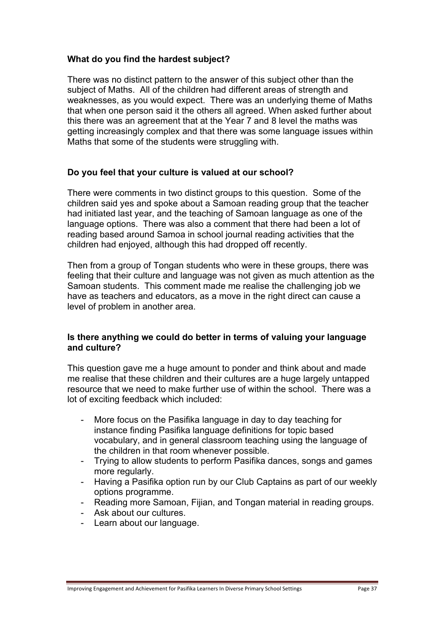#### **What do you find the hardest subject?**

There was no distinct pattern to the answer of this subject other than the subject of Maths. All of the children had different areas of strength and weaknesses, as you would expect. There was an underlying theme of Maths that when one person said it the others all agreed. When asked further about this there was an agreement that at the Year 7 and 8 level the maths was getting increasingly complex and that there was some language issues within Maths that some of the students were struggling with.

#### **Do you feel that your culture is valued at our school?**

There were comments in two distinct groups to this question. Some of the children said yes and spoke about a Samoan reading group that the teacher had initiated last year, and the teaching of Samoan language as one of the language options. There was also a comment that there had been a lot of reading based around Samoa in school journal reading activities that the children had enjoyed, although this had dropped off recently.

Then from a group of Tongan students who were in these groups, there was feeling that their culture and language was not given as much attention as the Samoan students. This comment made me realise the challenging job we have as teachers and educators, as a move in the right direct can cause a level of problem in another area.

#### **Is there anything we could do better in terms of valuing your language and culture?**

This question gave me a huge amount to ponder and think about and made me realise that these children and their cultures are a huge largely untapped resource that we need to make further use of within the school. There was a lot of exciting feedback which included:

- More focus on the Pasifika language in day to day teaching for instance finding Pasifika language definitions for topic based vocabulary, and in general classroom teaching using the language of the children in that room whenever possible.
- Trying to allow students to perform Pasifika dances, songs and games more regularly.
- Having a Pasifika option run by our Club Captains as part of our weekly options programme.
- Reading more Samoan, Fijian, and Tongan material in reading groups.
- Ask about our cultures.
- Learn about our language.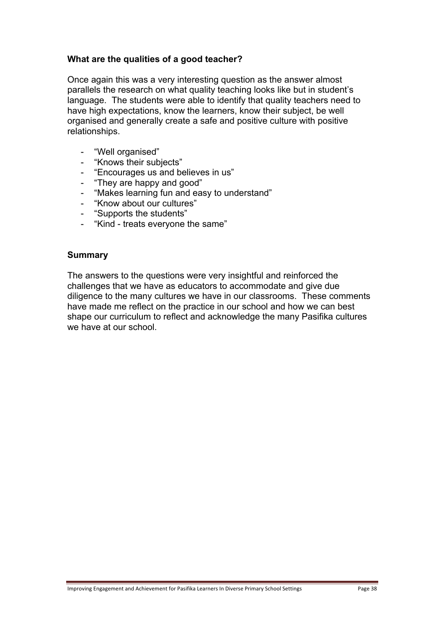#### **What are the qualities of a good teacher?**

Once again this was a very interesting question as the answer almost parallels the research on what quality teaching looks like but in student's language. The students were able to identify that quality teachers need to have high expectations, know the learners, know their subject, be well organised and generally create a safe and positive culture with positive relationships.

- "Well organised"
- "Knows their subjects"
- "Encourages us and believes in us"
- "They are happy and good"
- "Makes learning fun and easy to understand"
- "Know about our cultures"
- "Supports the students"
- "Kind treats everyone the same"

#### **Summary**

The answers to the questions were very insightful and reinforced the challenges that we have as educators to accommodate and give due diligence to the many cultures we have in our classrooms. These comments have made me reflect on the practice in our school and how we can best shape our curriculum to reflect and acknowledge the many Pasifika cultures we have at our school.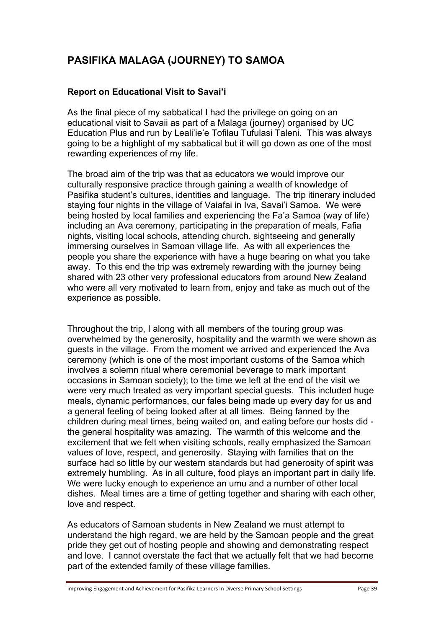# **PASIFIKA MALAGA (JOURNEY) TO SAMOA**

## **Report on Educational Visit to Savai'i**

As the final piece of my sabbatical I had the privilege on going on an educational visit to Savaii as part of a Malaga (journey) organised by UC Education Plus and run by Leali'ie'e Tofilau Tufulasi Taleni. This was always going to be a highlight of my sabbatical but it will go down as one of the most rewarding experiences of my life.

The broad aim of the trip was that as educators we would improve our culturally responsive practice through gaining a wealth of knowledge of Pasifika student's cultures, identities and language. The trip itinerary included staying four nights in the village of Vaiafai in Iva, Savai'i Samoa. We were being hosted by local families and experiencing the Fa'a Samoa (way of life) including an Ava ceremony, participating in the preparation of meals, Fafia nights, visiting local schools, attending church, sightseeing and generally immersing ourselves in Samoan village life. As with all experiences the people you share the experience with have a huge bearing on what you take away. To this end the trip was extremely rewarding with the journey being shared with 23 other very professional educators from around New Zealand who were all very motivated to learn from, enjoy and take as much out of the experience as possible.

Throughout the trip, I along with all members of the touring group was overwhelmed by the generosity, hospitality and the warmth we were shown as guests in the village. From the moment we arrived and experienced the Ava ceremony (which is one of the most important customs of the Samoa which involves a solemn ritual where ceremonial beverage to mark important occasions in Samoan society); to the time we left at the end of the visit we were very much treated as very important special guests. This included huge meals, dynamic performances, our fales being made up every day for us and a general feeling of being looked after at all times. Being fanned by the children during meal times, being waited on, and eating before our hosts did the general hospitality was amazing. The warmth of this welcome and the excitement that we felt when visiting schools, really emphasized the Samoan values of love, respect, and generosity. Staying with families that on the surface had so little by our western standards but had generosity of spirit was extremely humbling. As in all culture, food plays an important part in daily life. We were lucky enough to experience an umu and a number of other local dishes. Meal times are a time of getting together and sharing with each other, love and respect.

As educators of Samoan students in New Zealand we must attempt to understand the high regard, we are held by the Samoan people and the great pride they get out of hosting people and showing and demonstrating respect and love. I cannot overstate the fact that we actually felt that we had become part of the extended family of these village families.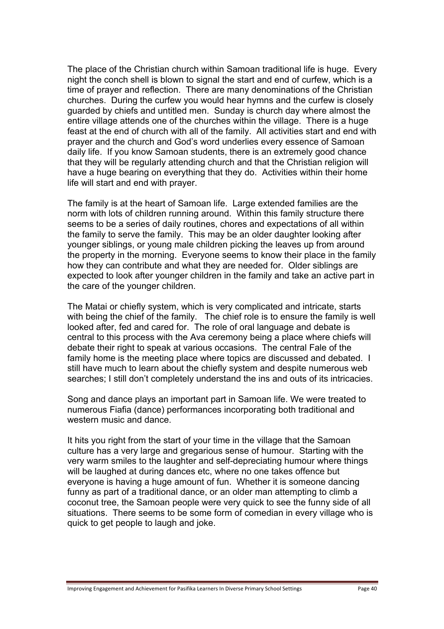The place of the Christian church within Samoan traditional life is huge. Every night the conch shell is blown to signal the start and end of curfew, which is a time of prayer and reflection. There are many denominations of the Christian churches. During the curfew you would hear hymns and the curfew is closely guarded by chiefs and untitled men. Sunday is church day where almost the entire village attends one of the churches within the village. There is a huge feast at the end of church with all of the family. All activities start and end with prayer and the church and God's word underlies every essence of Samoan daily life. If you know Samoan students, there is an extremely good chance that they will be regularly attending church and that the Christian religion will have a huge bearing on everything that they do. Activities within their home life will start and end with prayer.

The family is at the heart of Samoan life. Large extended families are the norm with lots of children running around. Within this family structure there seems to be a series of daily routines, chores and expectations of all within the family to serve the family. This may be an older daughter looking after younger siblings, or young male children picking the leaves up from around the property in the morning. Everyone seems to know their place in the family how they can contribute and what they are needed for. Older siblings are expected to look after younger children in the family and take an active part in the care of the younger children.

The Matai or chiefly system, which is very complicated and intricate, starts with being the chief of the family. The chief role is to ensure the family is well looked after, fed and cared for. The role of oral language and debate is central to this process with the Ava ceremony being a place where chiefs will debate their right to speak at various occasions. The central Fale of the family home is the meeting place where topics are discussed and debated. I still have much to learn about the chiefly system and despite numerous web searches; I still don't completely understand the ins and outs of its intricacies.

Song and dance plays an important part in Samoan life. We were treated to numerous Fiafia (dance) performances incorporating both traditional and western music and dance

It hits you right from the start of your time in the village that the Samoan culture has a very large and gregarious sense of humour. Starting with the very warm smiles to the laughter and self-depreciating humour where things will be laughed at during dances etc, where no one takes offence but everyone is having a huge amount of fun. Whether it is someone dancing funny as part of a traditional dance, or an older man attempting to climb a coconut tree, the Samoan people were very quick to see the funny side of all situations. There seems to be some form of comedian in every village who is quick to get people to laugh and joke.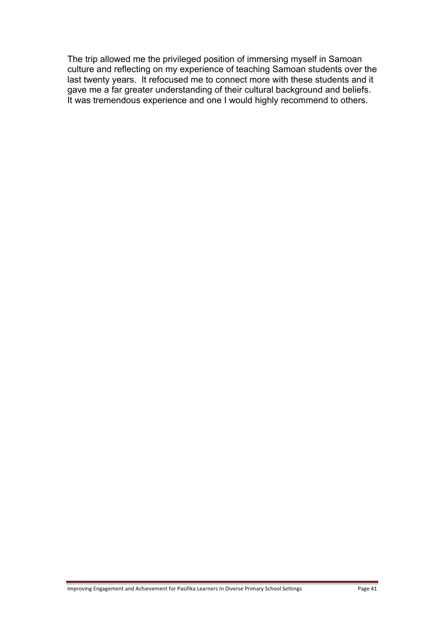The trip allowed me the privileged position of immersing myself in Samoan culture and reflecting on my experience of teaching Samoan students over the last twenty years. It refocused me to connect more with these students and it gave me a far greater understanding of their cultural background and beliefs. It was tremendous experience and one I would highly recommend to others.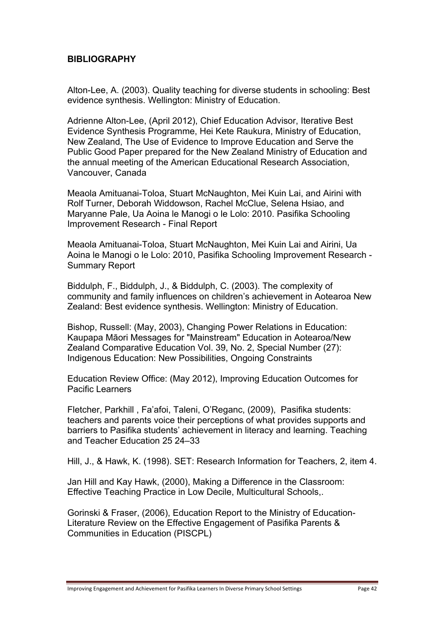## **BIBLIOGRAPHY**

Alton-Lee, A. (2003). Quality teaching for diverse students in schooling: Best evidence synthesis. Wellington: Ministry of Education.

Adrienne Alton-Lee, (April 2012), Chief Education Advisor, Iterative Best Evidence Synthesis Programme, Hei Kete Raukura, Ministry of Education, New Zealand, The Use of Evidence to Improve Education and Serve the Public Good Paper prepared for the New Zealand Ministry of Education and the annual meeting of the American Educational Research Association, Vancouver, Canada

Meaola Amituanai-Toloa, Stuart McNaughton, Mei Kuin Lai, and Airini with Rolf Turner, Deborah Widdowson, Rachel McClue, Selena Hsiao, and Maryanne Pale, Ua Aoina le Manogi o le Lolo: 2010. Pasifika Schooling Improvement Research - Final Report

Meaola Amituanai-Toloa, Stuart McNaughton, Mei Kuin Lai and Airini, Ua Aoina le Manogi o le Lolo: 2010, Pasifika Schooling Improvement Research - Summary Report

Biddulph, F., Biddulph, J., & Biddulph, C. (2003). The complexity of community and family influences on children's achievement in Aotearoa New Zealand: Best evidence synthesis. Wellington: Ministry of Education.

Bishop, Russell: (May, 2003), Changing Power Relations in Education: Kaupapa Māori Messages for "Mainstream" Education in Aotearoa/New Zealand Comparative Education Vol. 39, No. 2, Special Number (27): Indigenous Education: New Possibilities, Ongoing Constraints

Education Review Office: (May 2012), Improving Education Outcomes for Pacific Learners

Fletcher, Parkhill , Fa'afoi, Taleni, O'Reganc, (2009), Pasifika students: teachers and parents voice their perceptions of what provides supports and barriers to Pasifika students' achievement in literacy and learning. Teaching and Teacher Education 25 24–33

Hill, J., & Hawk, K. (1998). SET: Research Information for Teachers, 2, item 4.

Jan Hill and Kay Hawk, (2000), Making a Difference in the Classroom: Effective Teaching Practice in Low Decile, Multicultural Schools,.

Gorinski & Fraser, (2006), Education Report to the Ministry of Education-Literature Review on the Effective Engagement of Pasifika Parents & Communities in Education (PISCPL)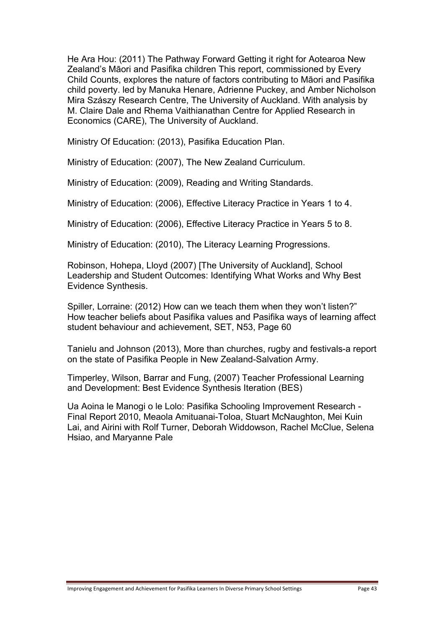He Ara Hou: (2011) The Pathway Forward Getting it right for Aotearoa New Zealand's Māori and Pasifika children This report, commissioned by Every Child Counts, explores the nature of factors contributing to Māori and Pasifika child poverty. led by Manuka Henare, Adrienne Puckey, and Amber Nicholson Mira Szászy Research Centre, The University of Auckland. With analysis by M. Claire Dale and Rhema Vaithianathan Centre for Applied Research in Economics (CARE), The University of Auckland.

Ministry Of Education: (2013), Pasifika Education Plan.

Ministry of Education: (2007), The New Zealand Curriculum.

Ministry of Education: (2009), Reading and Writing Standards.

Ministry of Education: (2006), Effective Literacy Practice in Years 1 to 4.

Ministry of Education: (2006), Effective Literacy Practice in Years 5 to 8.

Ministry of Education: (2010), The Literacy Learning Progressions.

Robinson, Hohepa, Lloyd (2007) [The University of Auckland], School Leadership and Student Outcomes: Identifying What Works and Why Best Evidence Synthesis.

Spiller, Lorraine: (2012) How can we teach them when they won't listen?" How teacher beliefs about Pasifika values and Pasifika ways of learning affect student behaviour and achievement, SET, N53, Page 60

Tanielu and Johnson (2013), More than churches, rugby and festivals-a report on the state of Pasifika People in New Zealand-Salvation Army.

Timperley, Wilson, Barrar and Fung, (2007) Teacher Professional Learning and Development: Best Evidence Synthesis Iteration (BES)

Ua Aoina le Manogi o le Lolo: Pasifika Schooling Improvement Research - Final Report 2010, Meaola Amituanai-Toloa, Stuart McNaughton, Mei Kuin Lai, and Airini with Rolf Turner, Deborah Widdowson, Rachel McClue, Selena Hsiao, and Maryanne Pale